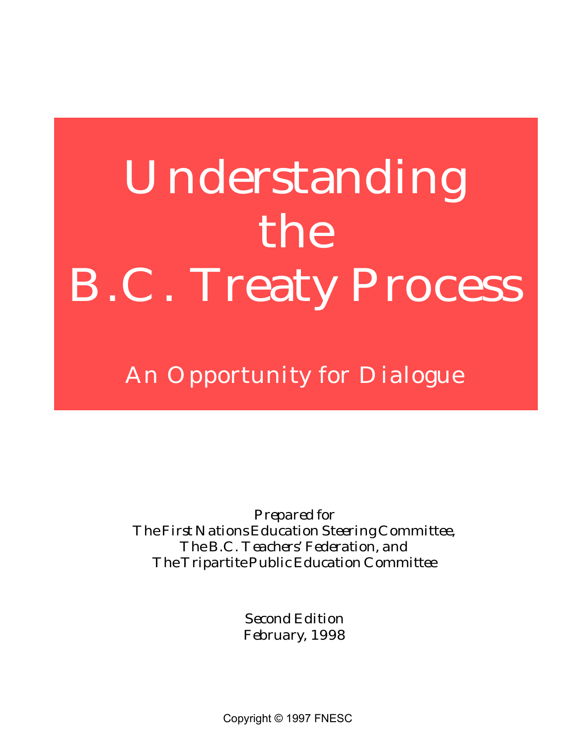# **Understanding the B.C. Treaty Process**

*An Opportunity for Dialogue*

*Prepared for The First Nations Education Steering Committee, The B.C. Teachers' Federation, and The Tripartite Public Education Committee*

> *Second Edition February, 1998*

Copyright © 1997 FNESC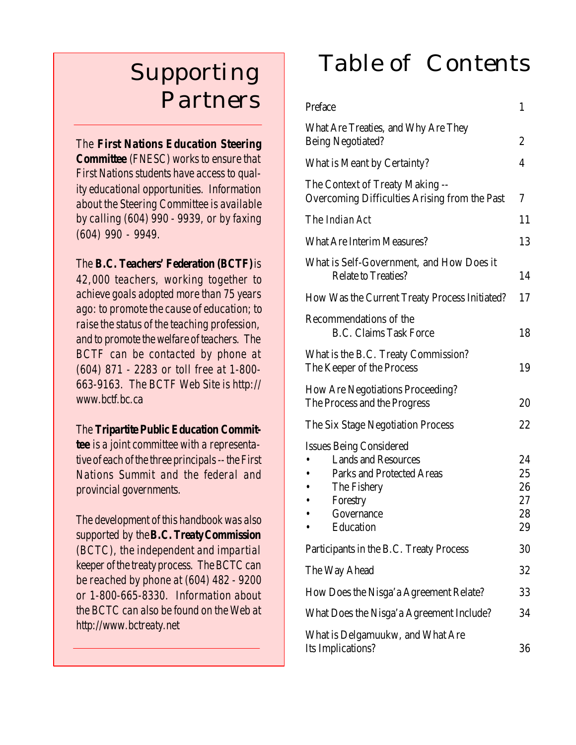### *Supporting Partners*

*The First Nations Education Steering Committee (FNESC) works to ensure that First Nations students have access to quality educational opportunities. Information about the Steering Committee is available by calling (604) 990 - 9939, or by faxing (604) 990 - 9949.*

#### *The B.C. Teachers' Federation (BCTF) is*

*42,000 teachers, working together to achieve goals adopted more than 75 years ago: to promote the cause of education; to raise the status of the teaching profession, and to promote the welfare of teachers. The BCTF can be contacted by phone at (604) 871 - 2283 or toll free at 1-800- 663-9163. The BCTF Web Site is http:// www.bctf.bc.ca*

*The Tripartite Public Education Committee is a joint committee with a representative of each of the three principals -- the First Nations Summit and the federal and provincial governments.*

*The development of this handbook was also supported by the B.C. Treaty Commission (BCTC), the independent and impartial keeper of the treaty process. The BCTC can be reached by phone at (604) 482 - 9200 or 1-800-665-8330. Information about the BCTC can also be found on the Web at http://www.bctreaty.net*

### *Table of Contents*

| Preface                                                                                                                                                | $\mathbf{1}$                     |  |
|--------------------------------------------------------------------------------------------------------------------------------------------------------|----------------------------------|--|
| What Are Treaties, and Why Are They<br><b>Being Negotiated?</b>                                                                                        | $\overline{c}$                   |  |
| What is Meant by Certainty?                                                                                                                            | 4                                |  |
| The Context of Treaty Making --<br>Overcoming Difficulties Arising from the Past                                                                       | 7                                |  |
| The <i>Indian</i> Act                                                                                                                                  | 11                               |  |
| <b>What Are Interim Measures?</b>                                                                                                                      | 13                               |  |
| What is Self-Government, and How Does it<br><b>Relate to Treaties?</b>                                                                                 | 14                               |  |
| How Was the Current Treaty Process Initiated?                                                                                                          | 17                               |  |
| Recommendations of the<br><b>B.C. Claims Task Force</b>                                                                                                | 18                               |  |
| What is the B.C. Treaty Commission?<br>The Keeper of the Process                                                                                       |                                  |  |
| <b>How Are Negotiations Proceeding?</b><br>The Process and the Progress                                                                                | 20                               |  |
| The Six Stage Negotiation Process                                                                                                                      | 22                               |  |
| <b>Issues Being Considered</b><br><b>Lands and Resources</b><br><b>Parks and Protected Areas</b><br>The Fishery<br>Forestry<br>Governance<br>Education | 24<br>25<br>26<br>27<br>28<br>29 |  |
| Participants in the B.C. Treaty Process                                                                                                                | 30                               |  |
| The Way Ahead                                                                                                                                          | 32                               |  |
| How Does the Nisga'a Agreement Relate?                                                                                                                 | 33                               |  |
| What Does the Nisga'a Agreement Include?                                                                                                               | 34                               |  |
| What is Delgamuukw, and What Are<br>Its Implications?                                                                                                  | 36                               |  |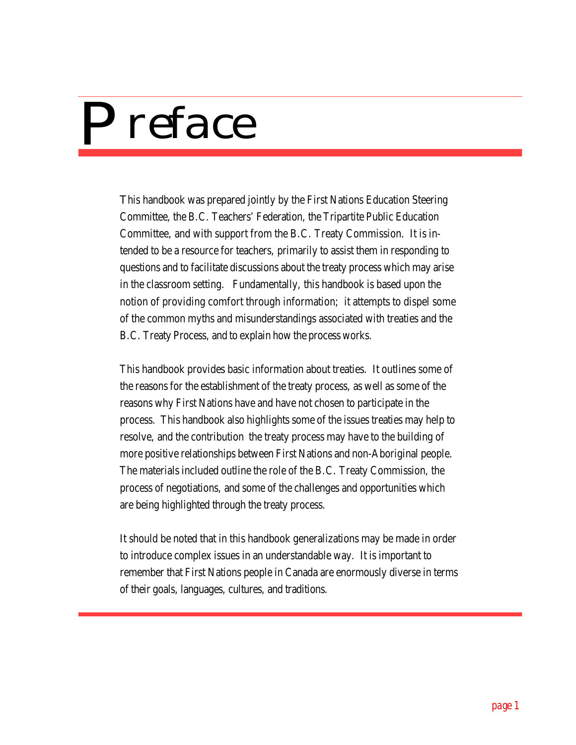

This handbook was prepared jointly by the First Nations Education Steering Committee, the B.C. Teachers' Federation, the Tripartite Public Education Committee, and with support from the B.C. Treaty Commission. It is intended to be a resource for teachers, primarily to assist them in responding to questions and to facilitate discussions about the treaty process which may arise in the classroom setting. Fundamentally, this handbook is based upon the notion of providing comfort through information; it attempts to dispel some of the common myths and misunderstandings associated with treaties and the B.C. Treaty Process, and to explain how the process works.

This handbook provides basic information about treaties. It outlines some of the reasons for the establishment of the treaty process, as well as some of the reasons why First Nations have and have not chosen to participate in the process. This handbook also highlights some of the issues treaties may help to resolve, and the contribution the treaty process may have to the building of more positive relationships between First Nations and non-Aboriginal people. The materials included outline the role of the B.C. Treaty Commission, the process of negotiations, and some of the challenges and opportunities which are being highlighted through the treaty process.

It should be noted that in this handbook generalizations may be made in order to introduce complex issues in an understandable way. It is important to remember that First Nations people in Canada are enormously diverse in terms of their goals, languages, cultures, and traditions.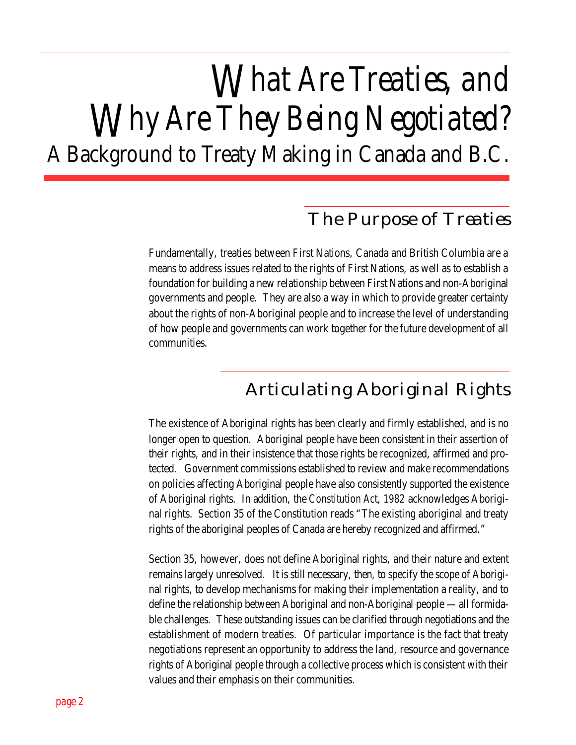## *What Are Treaties, and Why Are They Being Negotiated?* A Background to Treaty Making in Canada and B.C.

### *The Purpose of Treaties*

Fundamentally, treaties between First Nations, Canada and British Columbia are a means to address issues related to the rights of First Nations, as well as to establish a foundation for building a new relationship between First Nations and non-Aboriginal governments and people. They are also a way in which to provide greater certainty about the rights of non-Aboriginal people and to increase the level of understanding of how people and governments can work together for the future development of all communities.

### *Articulating Aboriginal Rights*

The existence of Aboriginal rights has been clearly and firmly established, and is no longer open to question. Aboriginal people have been consistent in their assertion of their rights, and in their insistence that those rights be recognized, affirmed and protected. Government commissions established to review and make recommendations on policies affecting Aboriginal people have also consistently supported the existence of Aboriginal rights. In addition, the *Constitution Act, 1982* acknowledges Aboriginal rights. Section 35 of the Constitution reads "The existing aboriginal and treaty rights of the aboriginal peoples of Canada are hereby recognized and affirmed."

Section 35, however, does not define Aboriginal rights, and their nature and extent remains largely unresolved. It is still necessary, then, to specify the scope of Aboriginal rights, to develop mechanisms for making their implementation a reality, and to define the relationship between Aboriginal and non-Aboriginal people — all formidable challenges. These outstanding issues can be clarified through negotiations and the establishment of modern treaties. Of particular importance is the fact that treaty negotiations represent an opportunity to address the land, resource and governance rights of Aboriginal people through a collective process which is consistent with their values and their emphasis on their communities.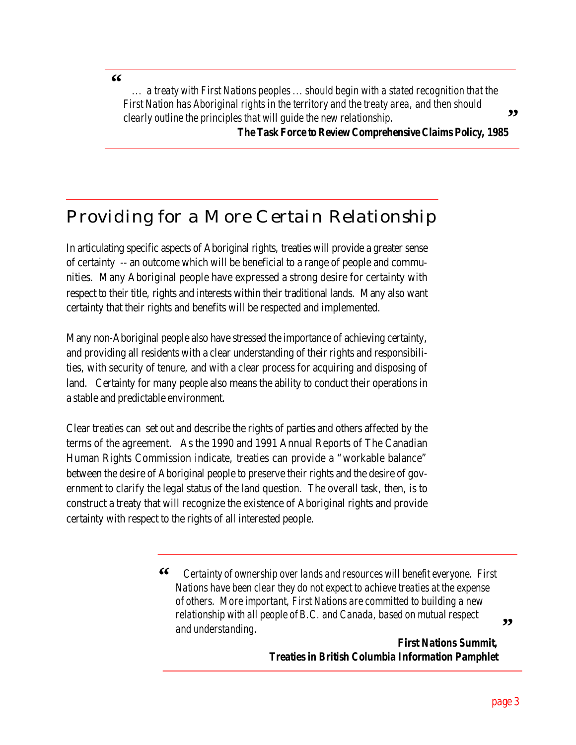**"**

 *... a treaty with First Nations peoples ... should begin with a stated recognition that the First Nation has Aboriginal rights in the territory and the treaty area, and then should clearly outline the principles that will guide the new relationship.* **"**

*The Task Force to Review Comprehensive Claims Policy, 1985*

### *Providing for a More Certain Relationship*

In articulating specific aspects of Aboriginal rights, treaties will provide a greater sense of certainty -- an outcome which will be beneficial to a range of people and communities. Many Aboriginal people have expressed a strong desire for certainty with respect to their title, rights and interests within their traditional lands. Many also want certainty that their rights and benefits will be respected and implemented.

Many non-Aboriginal people also have stressed the importance of achieving certainty, and providing all residents with a clear understanding of their rights and responsibilities, with security of tenure, and with a clear process for acquiring and disposing of land. Certainty for many people also means the ability to conduct their operations in a stable and predictable environment.

Clear treaties can set out and describe the rights of parties and others affected by the terms of the agreement. As the 1990 and 1991 Annual Reports of The Canadian Human Rights Commission indicate, treaties can provide a "workable balance" between the desire of Aboriginal people to preserve their rights and the desire of government to clarify the legal status of the land question. The overall task, then, is to construct a treaty that will recognize the existence of Aboriginal rights and provide certainty with respect to the rights of all interested people.

> *Certainty of ownership over lands and resources will benefit everyone. First Nations have been clear they do not expect to achieve treaties at the expense of others. More important, First Nations are committed to building a new relationship with all people of B.C. and Canada, based on mutual respect and understanding.*  **"**

> > *First Nations Summit, Treaties in British Columbia Information Pamphlet*

> > > *page 3*

**"**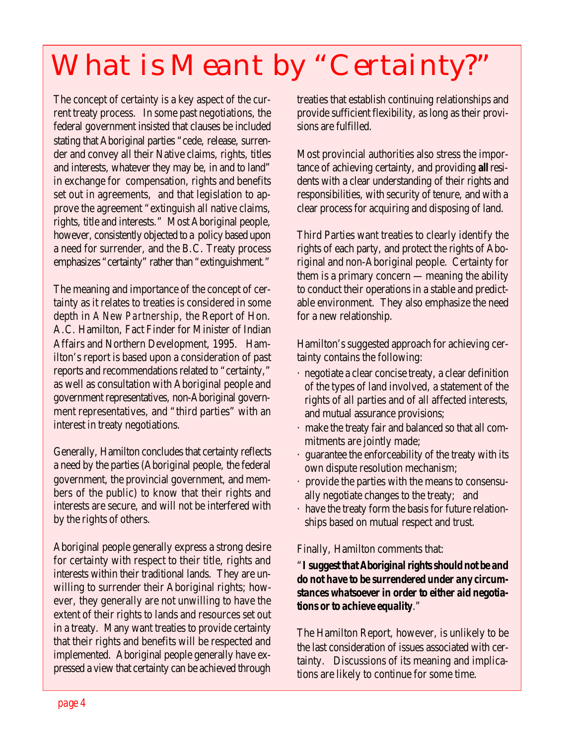## *What is Meant by "Certainty?"*

The concept of certainty is a key aspect of the current treaty process. In some past negotiations, the federal government insisted that clauses be included stating that Aboriginal parties "cede, release, surrender and convey all their Native claims, rights, titles and interests, whatever they may be, in and to land" in exchange for compensation, rights and benefits set out in agreements, and that legislation to approve the agreement "extinguish all native claims, rights, title and interests." Most Aboriginal people, however, consistently objected to a policy based upon a need for surrender, and the B.C. Treaty process emphasizes "certainty" rather than "extinguishment."

The meaning and importance of the concept of certainty as it relates to treaties is considered in some depth in *A New Partnership*, the Report of Hon. A.C. Hamilton, Fact Finder for Minister of Indian Affairs and Northern Development, 1995. Hamilton's report is based upon a consideration of past reports and recommendations related to "certainty," as well as consultation with Aboriginal people and government representatives, non-Aboriginal government representatives, and "third parties" with an interest in treaty negotiations.

Generally, Hamilton concludes that certainty reflects a need by the parties (Aboriginal people, the federal government, the provincial government, and members of the public) to know that their rights and interests are secure, and will not be interfered with by the rights of others.

Aboriginal people generally express a strong desire for certainty with respect to their title, rights and interests within their traditional lands. They are unwilling to surrender their Aboriginal rights; however, they generally are not unwilling to have the extent of their rights to lands and resources set out in a treaty. Many want treaties to provide certainty that their rights and benefits will be respected and implemented. Aboriginal people generally have expressed a view that certainty can be achieved through treaties that establish continuing relationships and provide sufficient flexibility, as long as their provisions are fulfilled.

Most provincial authorities also stress the importance of achieving certainty, and providing *all* residents with a clear understanding of their rights and responsibilities, with security of tenure, and with a clear process for acquiring and disposing of land.

Third Parties want treaties to clearly identify the rights of each party, and protect the rights of Aboriginal and non-Aboriginal people. Certainty for them is a primary concern — meaning the ability to conduct their operations in a stable and predictable environment. They also emphasize the need for a new relationship.

Hamilton's suggested approach for achieving certainty contains the following:

- · negotiate a clear concise treaty, a clear definition of the types of land involved, a statement of the rights of all parties and of all affected interests, and mutual assurance provisions;
- make the treaty fair and balanced so that all commitments are jointly made;
- · guarantee the enforceability of the treaty with its own dispute resolution mechanism;
- · provide the parties with the means to consensually negotiate changes to the treaty; and
- · have the treaty form the basis for future relationships based on mutual respect and trust.

#### Finally, Hamilton comments that:

#### "*I suggest that Aboriginal rights should not be and do not have to be surrendered under any circumstances whatsoever in order to either aid negotiations or to achieve equality*."

The Hamilton Report, however, is unlikely to be the last consideration of issues associated with certainty. Discussions of its meaning and implications are likely to continue for some time.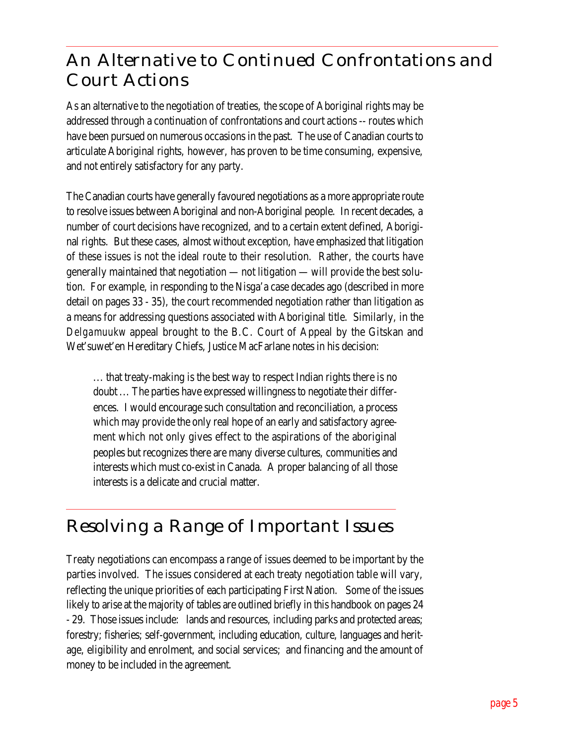### *An Alternative to Continued Confrontations and Court Actions*

As an alternative to the negotiation of treaties, the scope of Aboriginal rights may be addressed through a continuation of confrontations and court actions -- routes which have been pursued on numerous occasions in the past. The use of Canadian courts to articulate Aboriginal rights, however, has proven to be time consuming, expensive, and not entirely satisfactory for any party.

The Canadian courts have generally favoured negotiations as a more appropriate route to resolve issues between Aboriginal and non-Aboriginal people. In recent decades, a number of court decisions have recognized, and to a certain extent defined, Aboriginal rights. But these cases, almost without exception, have emphasized that litigation of these issues is not the ideal route to their resolution. Rather, the courts have generally maintained that negotiation — not litigation — will provide the best solution. For example, in responding to the Nisga'a case decades ago (described in more detail on pages 33 - 35), the court recommended negotiation rather than litigation as a means for addressing questions associated with Aboriginal title. Similarly, in the *Delgamuukw* appeal brought to the B.C. Court of Appeal by the Gitskan and Wet'suwet'en Hereditary Chiefs, Justice MacFarlane notes in his decision:

... that treaty-making is the best way to respect Indian rights there is no doubt ... The parties have expressed willingness to negotiate their differences. I would encourage such consultation and reconciliation, a process which may provide the only real hope of an early and satisfactory agreement which not only gives effect to the aspirations of the aboriginal peoples but recognizes there are many diverse cultures, communities and interests which must co-exist in Canada. A proper balancing of all those interests is a delicate and crucial matter.

### *Resolving a Range of Important Issues*

Treaty negotiations can encompass a range of issues deemed to be important by the parties involved. The issues considered at each treaty negotiation table will vary, reflecting the unique priorities of each participating First Nation. Some of the issues likely to arise at the majority of tables are outlined briefly in this handbook on pages 24 - 29. Those issues include: lands and resources, including parks and protected areas; forestry; fisheries; self-government, including education, culture, languages and heritage, eligibility and enrolment, and social services; and financing and the amount of money to be included in the agreement.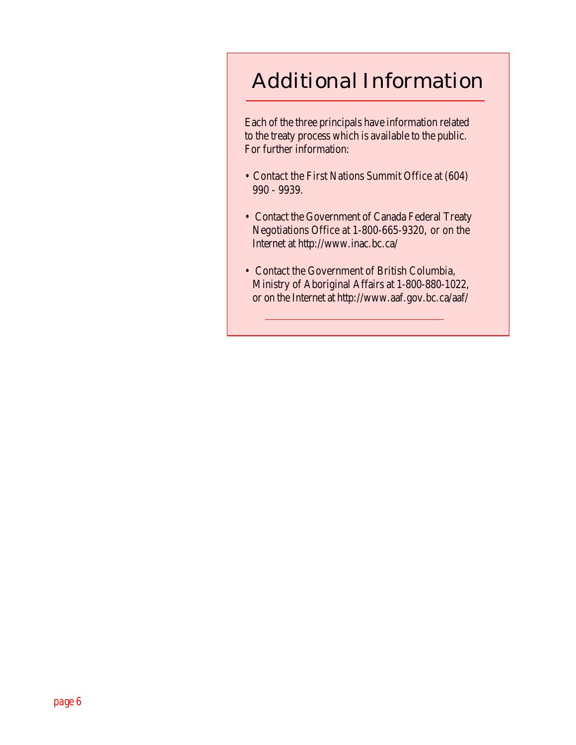### *Additional Information*

Each of the three principals have information related to the treaty process which is available to the public. For further information:

- Contact the First Nations Summit Office at (604) 990 - 9939.
- Contact the Government of Canada Federal Treaty Negotiations Office at 1-800-665-9320, or on the Internet at http://www.inac.bc.ca/
- Contact the Government of British Columbia, Ministry of Aboriginal Affairs at 1-800-880-1022, or on the Internet at http://www.aaf.gov.bc.ca/aaf/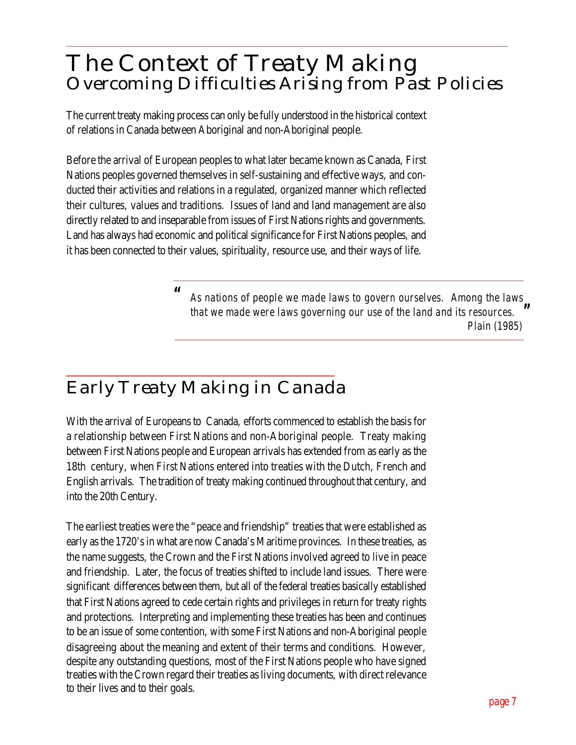### *The Context of Treaty Making Overcoming Difficulties Arising from Past Policies*

The current treaty making process can only be fully understood in the historical context of relations in Canada between Aboriginal and non-Aboriginal people.

Before the arrival of European peoples to what later became known as Canada, First Nations peoples governed themselves in self-sustaining and effective ways, and conducted their activities and relations in a regulated, organized manner which reflected their cultures, values and traditions. Issues of land and land management are also directly related to and inseparable from issues of First Nations rights and governments. Land has always had economic and political significance for First Nations peoples, and it has been connected to their values, spirituality, resource use, and their ways of life.

> *As nations of people we made laws to govern ourselves. Among the laws that we made were laws governing our use of the land and its resources. Plain (1985) " "*

### *Early Treaty Making in Canada*

With the arrival of Europeans to Canada, efforts commenced to establish the basis for a relationship between First Nations and non-Aboriginal people. Treaty making between First Nations people and European arrivals has extended from as early as the 18th century, when First Nations entered into treaties with the Dutch, French and English arrivals. The tradition of treaty making continued throughout that century, and into the 20th Century.

The earliest treaties were the "peace and friendship" treaties that were established as early as the 1720's in what are now Canada's Maritime provinces. In these treaties, as the name suggests, the Crown and the First Nations involved agreed to live in peace and friendship. Later, the focus of treaties shifted to include land issues. There were significant differences between them, but all of the federal treaties basically established that First Nations agreed to cede certain rights and privileges in return for treaty rights and protections. Interpreting and implementing these treaties has been and continues to be an issue of some contention, with some First Nations and non-Aboriginal people disagreeing about the meaning and extent of their terms and conditions. However, despite any outstanding questions, most of the First Nations people who have signed treaties with the Crown regard their treaties as living documents, with direct relevance to their lives and to their goals.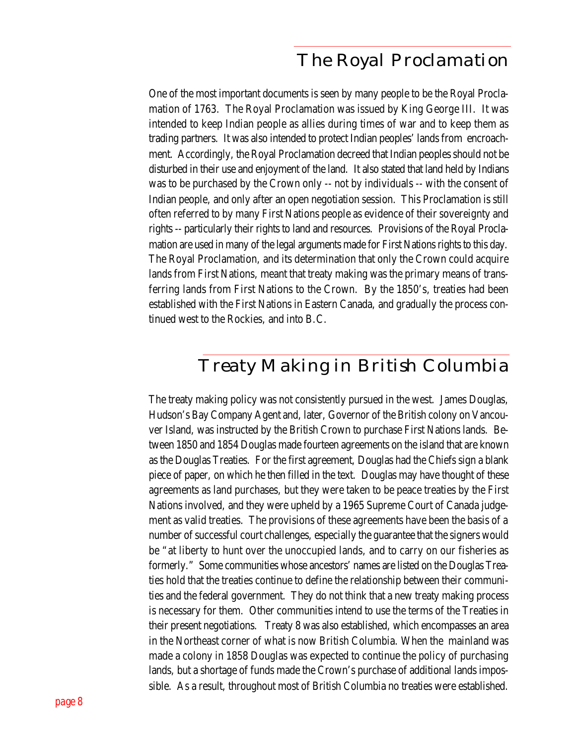#### *The Royal Proclamation*

One of the most important documents is seen by many people to be the Royal Proclamation of 1763. The Royal Proclamation was issued by King George III. It was intended to keep Indian people as allies during times of war and to keep them as trading partners. It was also intended to protect Indian peoples' lands from encroachment. Accordingly, the Royal Proclamation decreed that Indian peoples should not be disturbed in their use and enjoyment of the land. It also stated that land held by Indians was to be purchased by the Crown only -- not by individuals -- with the consent of Indian people, and only after an open negotiation session. This Proclamation is still often referred to by many First Nations people as evidence of their sovereignty and rights -- particularly their rights to land and resources. Provisions of the Royal Proclamation are used in many of the legal arguments made for First Nations rights to this day. The Royal Proclamation, and its determination that only the Crown could acquire lands from First Nations, meant that treaty making was the primary means of transferring lands from First Nations to the Crown. By the 1850's, treaties had been established with the First Nations in Eastern Canada, and gradually the process continued west to the Rockies, and into B.C.

#### *Treaty Making in British Columbia*

The treaty making policy was not consistently pursued in the west. James Douglas, Hudson's Bay Company Agent and, later, Governor of the British colony on Vancouver Island, was instructed by the British Crown to purchase First Nations lands. Between 1850 and 1854 Douglas made fourteen agreements on the island that are known as the Douglas Treaties. For the first agreement, Douglas had the Chiefs sign a blank piece of paper, on which he then filled in the text. Douglas may have thought of these agreements as land purchases, but they were taken to be peace treaties by the First Nations involved, and they were upheld by a 1965 Supreme Court of Canada judgement as valid treaties. The provisions of these agreements have been the basis of a number of successful court challenges, especially the guarantee that the signers would be "at liberty to hunt over the unoccupied lands, and to carry on our fisheries as formerly." Some communities whose ancestors' names are listed on the Douglas Treaties hold that the treaties continue to define the relationship between their communities and the federal government. They do not think that a new treaty making process is necessary for them. Other communities intend to use the terms of the Treaties in their present negotiations. Treaty 8 was also established, which encompasses an area in the Northeast corner of what is now British Columbia. When the mainland was made a colony in 1858 Douglas was expected to continue the policy of purchasing lands, but a shortage of funds made the Crown's purchase of additional lands impossible. As a result, throughout most of British Columbia no treaties were established.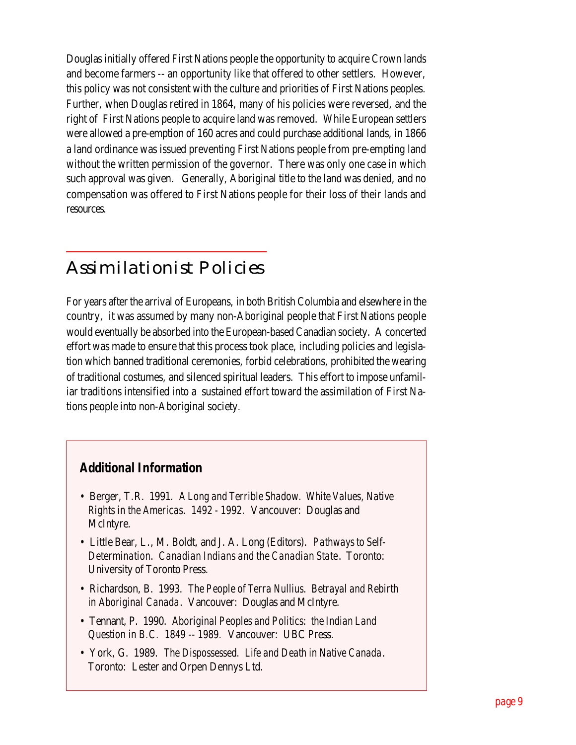Douglas initially offered First Nations people the opportunity to acquire Crown lands and become farmers -- an opportunity like that offered to other settlers. However, this policy was not consistent with the culture and priorities of First Nations peoples. Further, when Douglas retired in 1864, many of his policies were reversed, and the right of First Nations people to acquire land was removed. While European settlers were allowed a pre-emption of 160 acres and could purchase additional lands, in 1866 a land ordinance was issued preventing First Nations people from pre-empting land without the written permission of the governor. There was only one case in which such approval was given. Generally, Aboriginal title to the land was denied, and no compensation was offered to First Nations people for their loss of their lands and resources.

### *Assimilationist Policies*

For years after the arrival of Europeans, in both British Columbia and elsewhere in the country, it was assumed by many non-Aboriginal people that First Nations people would eventually be absorbed into the European-based Canadian society. A concerted effort was made to ensure that this process took place, including policies and legislation which banned traditional ceremonies, forbid celebrations, prohibited the wearing of traditional costumes, and silenced spiritual leaders. This effort to impose unfamiliar traditions intensified into a sustained effort toward the assimilation of First Nations people into non-Aboriginal society.

#### *Additional Information*

- Berger, T.R. 1991. *A Long and Terrible Shadow. White Values, Native Rights in the Americas. 1492 - 1992.* Vancouver: Douglas and McIntyre.
- Little Bear, L., M. Boldt, and J. A. Long (Editors). *Pathways to Self-Determination. Canadian Indians and the Canadian State*. Toronto: University of Toronto Press.
- Richardson, B. 1993. *The People of Terra Nullius. Betrayal and Rebirth in Aboriginal Canada*. Vancouver: Douglas and McIntyre.
- Tennant, P. 1990. *Aboriginal Peoples and Politics: the Indian Land Question in B.C. 1849 -- 1989.* Vancouver: UBC Press.
- York, G. 1989. *The Dispossessed. Life and Death in Native Canada*. Toronto: Lester and Orpen Dennys Ltd.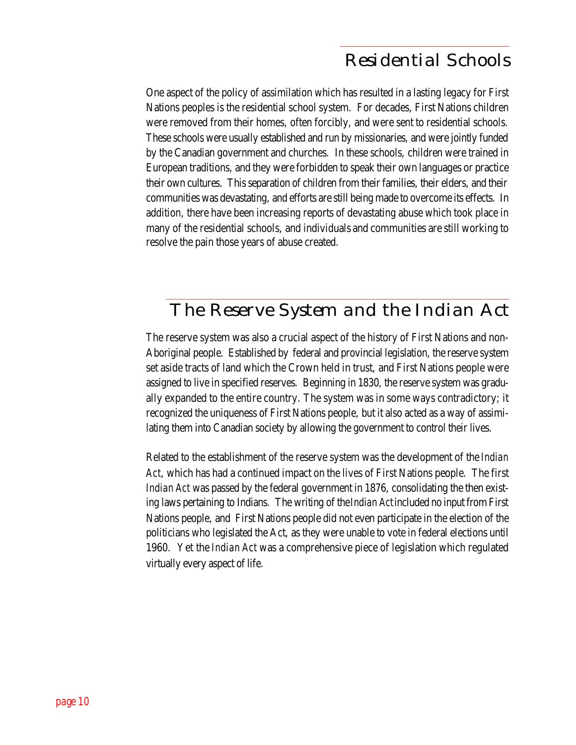### *Residential Schools*

One aspect of the policy of assimilation which has resulted in a lasting legacy for First Nations peoples is the residential school system. For decades, First Nations children were removed from their homes, often forcibly, and were sent to residential schools. These schools were usually established and run by missionaries, and were jointly funded by the Canadian government and churches. In these schools, children were trained in European traditions, and they were forbidden to speak their own languages or practice their own cultures. This separation of children from their families, their elders, and their communities was devastating, and efforts are still being made to overcome its effects. In addition, there have been increasing reports of devastating abuse which took place in many of the residential schools, and individuals and communities are still working to resolve the pain those years of abuse created.

### *The Reserve System and the Indian Act*

The reserve system was also a crucial aspect of the history of First Nations and non-Aboriginal people. Established by federal and provincial legislation, the reserve system set aside tracts of land which the Crown held in trust, and First Nations people were assigned to live in specified reserves. Beginning in 1830, the reserve system was gradually expanded to the entire country. The system was in some ways contradictory; it recognized the uniqueness of First Nations people, but it also acted as a way of assimilating them into Canadian society by allowing the government to control their lives.

Related to the establishment of the reserve system was the development of the *Indian Act*, which has had a continued impact on the lives of First Nations people. The first *Indian Act* was passed by the federal government in 1876, consolidating the then existing laws pertaining to Indians. The writing of the *Indian Act* included no input from First Nations people, and First Nations people did not even participate in the election of the politicians who legislated the Act, as they were unable to vote in federal elections until 1960. Yet the *Indian Act* was a comprehensive piece of legislation which regulated virtually every aspect of life.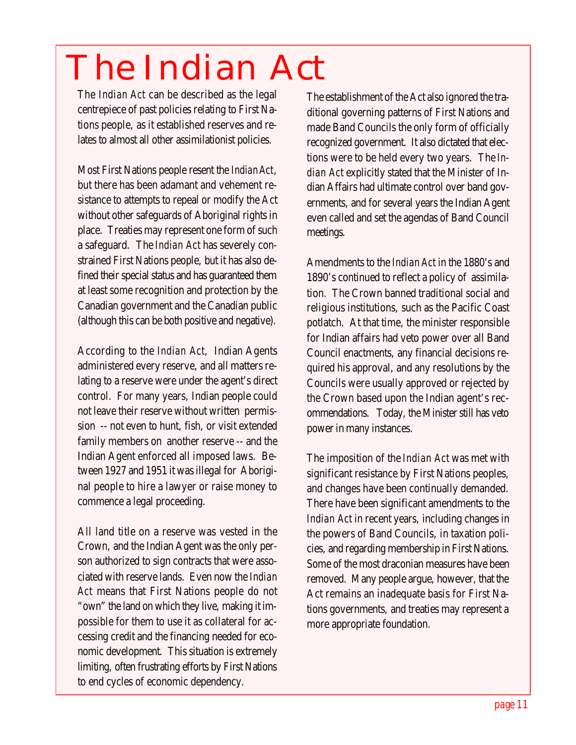## *The Indian Act*

The *Indian Act* can be described as the legal centrepiece of past policies relating to First Nations people, as it established reserves and relates to almost all other assimilationist policies.

Most First Nations people resent the *Indian Act*, but there has been adamant and vehement resistance to attempts to repeal or modify the Act without other safeguards of Aboriginal rights in place. Treaties may represent one form of such a safeguard. The *Indian Act* has severely constrained First Nations people, but it has also defined their special status and has guaranteed them at least some recognition and protection by the Canadian government and the Canadian public (although this can be both positive and negative).

According to the *Indian Act*, Indian Agents administered every reserve, and all matters relating to a reserve were under the agent's direct control. For many years, Indian people could not leave their reserve without written permission -- not even to hunt, fish, or visit extended family members on another reserve -- and the Indian Agent enforced all imposed laws. Between 1927 and 1951 it was illegal for Aboriginal people to hire a lawyer or raise money to commence a legal proceeding.

All land title on a reserve was vested in the Crown, and the Indian Agent was the only person authorized to sign contracts that were associated with reserve lands. Even now the *Indian Act* means that First Nations people do not "own" the land on which they live, making it impossible for them to use it as collateral for accessing credit and the financing needed for economic development. This situation is extremely limiting, often frustrating efforts by First Nations to end cycles of economic dependency.

The establishment of the Act also ignored the traditional governing patterns of First Nations and made Band Councils the only form of officially recognized government. It also dictated that elections were to be held every two years. The *Indian Act* explicitly stated that the Minister of Indian Affairs had ultimate control over band governments, and for several years the Indian Agent even called and set the agendas of Band Council meetings.

Amendments to the *Indian Act* in the 1880's and 1890's continued to reflect a policy of assimilation. The Crown banned traditional social and religious institutions, such as the Pacific Coast potlatch. At that time, the minister responsible for Indian affairs had veto power over all Band Council enactments, any financial decisions required his approval, and any resolutions by the Councils were usually approved or rejected by the Crown based upon the Indian agent's recommendations. Today, the Minister still has veto power in many instances.

The imposition of the *Indian Act* was met with significant resistance by First Nations peoples, and changes have been continually demanded. There have been significant amendments to the *Indian Act* in recent years, including changes in the powers of Band Councils, in taxation policies, and regarding membership in First Nations. Some of the most draconian measures have been removed. Many people argue, however, that the Act remains an inadequate basis for First Nations governments, and treaties may represent a more appropriate foundation.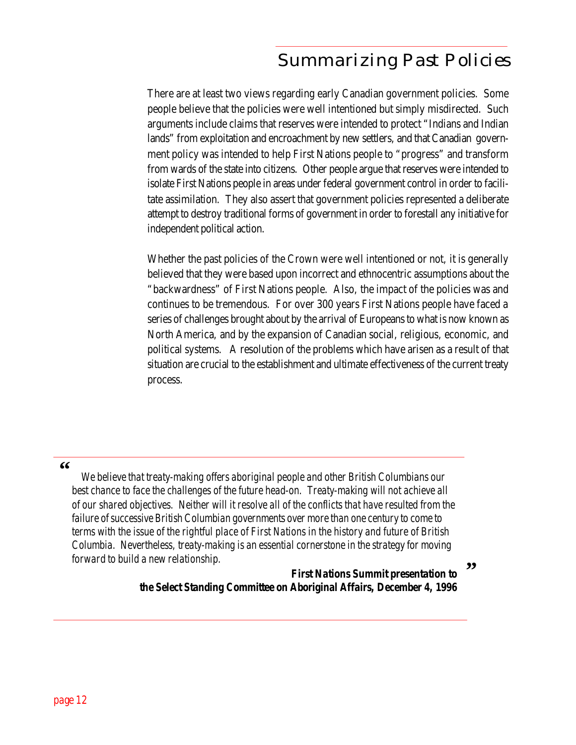### *Summarizing Past Policies*

There are at least two views regarding early Canadian government policies. Some people believe that the policies were well intentioned but simply misdirected. Such arguments include claims that reserves were intended to protect "Indians and Indian lands" from exploitation and encroachment by new settlers, and that Canadian government policy was intended to help First Nations people to "progress" and transform from wards of the state into citizens. Other people argue that reserves were intended to isolate First Nations people in areas under federal government control in order to facilitate assimilation. They also assert that government policies represented a deliberate attempt to destroy traditional forms of government in order to forestall any initiative for independent political action.

Whether the past policies of the Crown were well intentioned or not, it is generally believed that they were based upon incorrect and ethnocentric assumptions about the "backwardness" of First Nations people. Also, the impact of the policies was and continues to be tremendous. For over 300 years First Nations people have faced a series of challenges brought about by the arrival of Europeans to what is now known as North America, and by the expansion of Canadian social, religious, economic, and political systems. A resolution of the problems which have arisen as a result of that situation are crucial to the establishment and ultimate effectiveness of the current treaty process.

#### **"**

 *We believe that treaty-making offers aboriginal people and other British Columbians our best chance to face the challenges of the future head-on. Treaty-making will not achieve all of our shared objectives. Neither will it resolve all of the conflicts that have resulted from the failure of successive British Columbian governments over more than one century to come to terms with the issue of the rightful place of First Nations in the history and future of British Columbia. Nevertheless, treaty-making is an essential cornerstone in the strategy for moving forward to build a new relationship.*

> *First Nations Summit presentation to the Select Standing Committee on Aboriginal Affairs, December 4, 1996*

**"**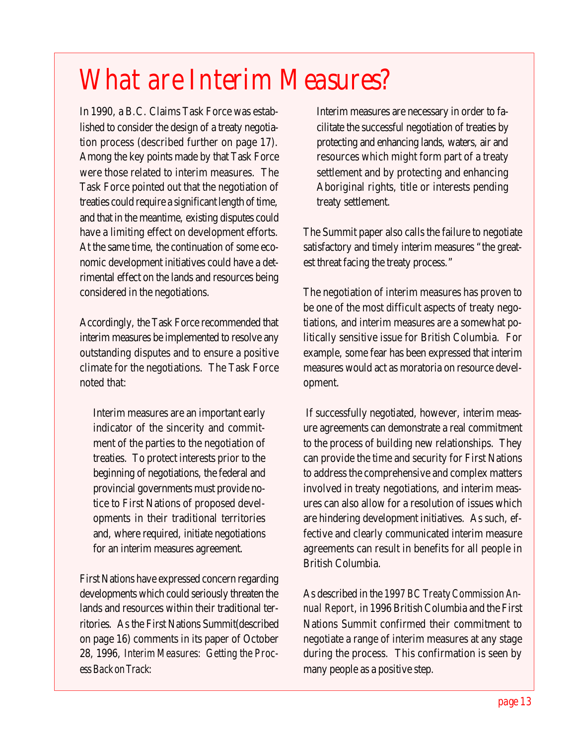### *What are Interim Measures?*

In 1990, a B.C. Claims Task Force was established to consider the design of a treaty negotiation process (described further on page 17). Among the key points made by that Task Force were those related to interim measures. The Task Force pointed out that the negotiation of treaties could require a significant length of time, and that in the meantime, existing disputes could have a limiting effect on development efforts. At the same time, the continuation of some economic development initiatives could have a detrimental effect on the lands and resources being considered in the negotiations.

Accordingly, the Task Force recommended that interim measures be implemented to resolve any outstanding disputes and to ensure a positive climate for the negotiations. The Task Force noted that:

Interim measures are an important early indicator of the sincerity and commitment of the parties to the negotiation of treaties. To protect interests prior to the beginning of negotiations, the federal and provincial governments must provide notice to First Nations of proposed developments in their traditional territories and, where required, initiate negotiations for an interim measures agreement.

First Nations have expressed concern regarding developments which could seriously threaten the lands and resources within their traditional territories. As the First Nations Summit(described on page 16) comments in its paper of October 28, 1996, *Interim Measures: Getting the Process Back on Track*:

Interim measures are necessary in order to facilitate the successful negotiation of treaties by protecting and enhancing lands, waters, air and resources which might form part of a treaty settlement and by protecting and enhancing Aboriginal rights, title or interests pending treaty settlement.

The Summit paper also calls the failure to negotiate satisfactory and timely interim measures "the greatest threat facing the treaty process."

The negotiation of interim measures has proven to be one of the most difficult aspects of treaty negotiations, and interim measures are a somewhat politically sensitive issue for British Columbia. For example, some fear has been expressed that interim measures would act as moratoria on resource development.

 If successfully negotiated, however, interim measure agreements can demonstrate a real commitment to the process of building new relationships. They can provide the time and security for First Nations to address the comprehensive and complex matters involved in treaty negotiations, and interim measures can also allow for a resolution of issues which are hindering development initiatives. As such, effective and clearly communicated interim measure agreements can result in benefits for all people in British Columbia.

As described in the *1997 BC Treaty Commission Annual Report*, in 1996 British Columbia and the First Nations Summit confirmed their commitment to negotiate a range of interim measures at any stage during the process. This confirmation is seen by many people as a positive step.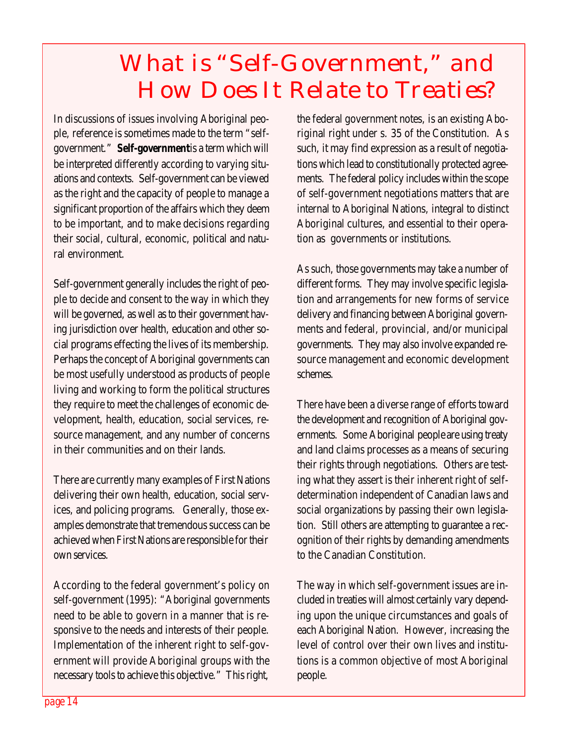### *What is "Self-Government," and How Does It Relate to Treaties?*

In discussions of issues involving Aboriginal people, reference is sometimes made to the term "selfgovernment." **Self-government** is a term which will be interpreted differently according to varying situations and contexts. Self-government can be viewed as the right and the capacity of people to manage a significant proportion of the affairs which they deem to be important, and to make decisions regarding their social, cultural, economic, political and natural environment.

Self-government generally includes the right of people to decide and consent to the way in which they will be governed, as well as to their government having jurisdiction over health, education and other social programs effecting the lives of its membership. Perhaps the concept of Aboriginal governments can be most usefully understood as products of people living and working to form the political structures they require to meet the challenges of economic development, health, education, social services, resource management, and any number of concerns in their communities and on their lands.

There are currently many examples of First Nations delivering their own health, education, social services, and policing programs. Generally, those examples demonstrate that tremendous success can be achieved when First Nations are responsible for their own services.

According to the federal government's policy on self-government (1995): "Aboriginal governments need to be able to govern in a manner that is responsive to the needs and interests of their people. Implementation of the inherent right to self-government will provide Aboriginal groups with the necessary tools to achieve this objective." This right,

the federal government notes, is an existing Aboriginal right under s. 35 of the Constitution. As such, it may find expression as a result of negotiations which lead to constitutionally protected agreements. The federal policy includes within the scope of self-government negotiations matters that are internal to Aboriginal Nations, integral to distinct Aboriginal cultures, and essential to their operation as governments or institutions.

As such, those governments may take a number of different forms. They may involve specific legislation and arrangements for new forms of service delivery and financing between Aboriginal governments and federal, provincial, and/or municipal governments. They may also involve expanded resource management and economic development schemes.

There have been a diverse range of efforts toward the development and recognition of Aboriginal governments. Some Aboriginal people are using treaty and land claims processes as a means of securing their rights through negotiations. Others are testing what they assert is their inherent right of selfdetermination independent of Canadian laws and social organizations by passing their own legislation. Still others are attempting to guarantee a recognition of their rights by demanding amendments to the Canadian Constitution.

The way in which self-government issues are included in treaties will almost certainly vary depending upon the unique circumstances and goals of each Aboriginal Nation. However, increasing the level of control over their own lives and institutions is a common objective of most Aboriginal people.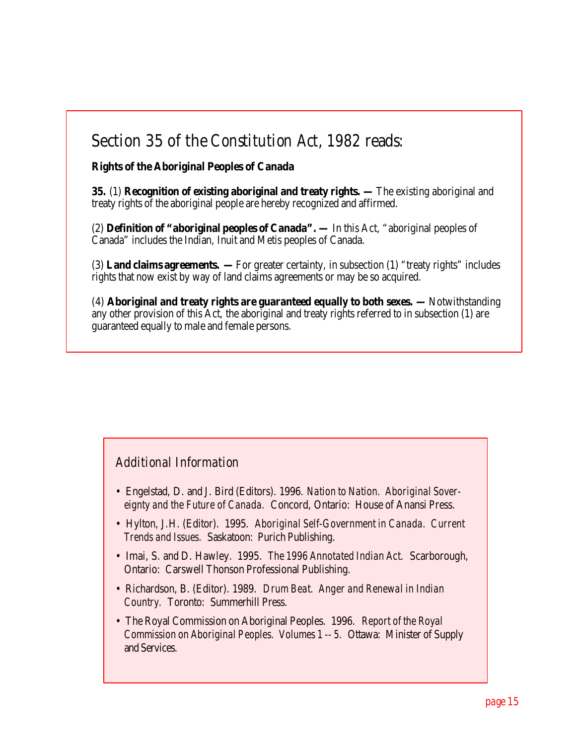#### **Section 35 of the** *Constitution Act, 1982* **reads:**

**Rights of the Aboriginal Peoples of Canada**

**35.** (1) **Recognition of existing aboriginal and treaty rights. —** The existing aboriginal and treaty rights of the aboriginal people are hereby recognized and affirmed.

(2) **Definition of "aboriginal peoples of Canada". —** In this Act, "aboriginal peoples of Canada" includes the Indian, Inuit and Metis peoples of Canada.

(3) **Land claims agreements. —** For greater certainty, in subsection (1) "treaty rights" includes rights that now exist by way of land claims agreements or may be so acquired.

(4) **Aboriginal and treaty rights are guaranteed equally to both sexes. —** Notwithstanding any other provision of this Act, the aboriginal and treaty rights referred to in subsection (1) are guaranteed equally to male and female persons.

#### *Additional Information*

- Engelstad, D. and J. Bird (Editors). 1996. *Nation to Nation. Aboriginal Sovereignty and the Future of Canada.* Concord, Ontario: House of Anansi Press.
- Hylton, J.H. (Editor). 1995. *Aboriginal Self-Government in Canada. Current Trends and Issues.* Saskatoon: Purich Publishing.
- Imai, S. and D. Hawley. 1995. *The 1996 Annotated Indian Act.* Scarborough, Ontario: Carswell Thonson Professional Publishing.
- Richardson, B. (Editor). 1989. *Drum Beat. Anger and Renewal in Indian Country.* Toronto: Summerhill Press.
- The Royal Commission on Aboriginal Peoples. 1996. *Report of the Royal Commission on Aboriginal Peoples. Volumes 1 -- 5.* Ottawa: Minister of Supply and Services.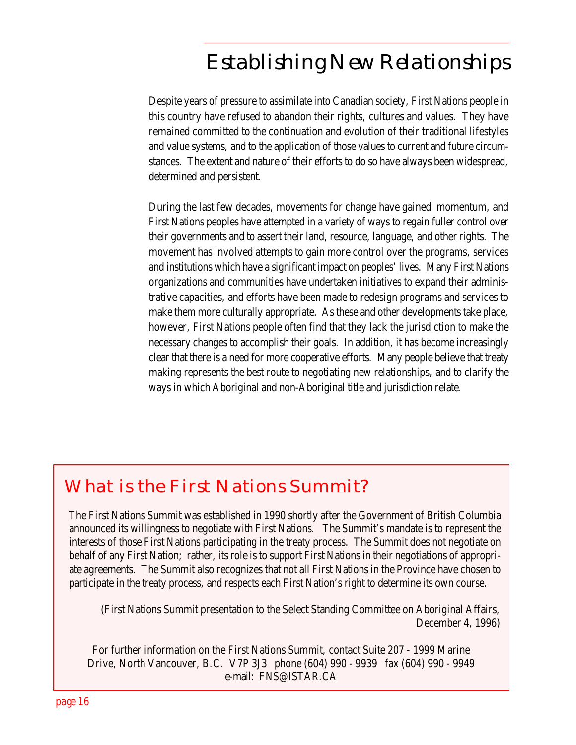### *Establishing New Relationships*

Despite years of pressure to assimilate into Canadian society, First Nations people in this country have refused to abandon their rights, cultures and values. They have remained committed to the continuation and evolution of their traditional lifestyles and value systems, and to the application of those values to current and future circumstances. The extent and nature of their efforts to do so have always been widespread, determined and persistent.

During the last few decades, movements for change have gained momentum, and First Nations peoples have attempted in a variety of ways to regain fuller control over their governments and to assert their land, resource, language, and other rights. The movement has involved attempts to gain more control over the programs, services and institutions which have a significant impact on peoples' lives. Many First Nations organizations and communities have undertaken initiatives to expand their administrative capacities, and efforts have been made to redesign programs and services to make them more culturally appropriate. As these and other developments take place, however, First Nations people often find that they lack the jurisdiction to make the necessary changes to accomplish their goals. In addition, it has become increasingly clear that there is a need for more cooperative efforts. Many people believe that treaty making represents the best route to negotiating new relationships, and to clarify the ways in which Aboriginal and non-Aboriginal title and jurisdiction relate.

### *What is the First Nations Summit?*

The First Nations Summit was established in 1990 shortly after the Government of British Columbia announced its willingness to negotiate with First Nations. The Summit's mandate is to represent the interests of those First Nations participating in the treaty process. The Summit does not negotiate on behalf of any First Nation; rather, its role is to support First Nations in their negotiations of appropriate agreements. The Summit also recognizes that not all First Nations in the Province have chosen to participate in the treaty process, and respects each First Nation's right to determine its own course.

(First Nations Summit presentation to the Select Standing Committee on Aboriginal Affairs, December 4, 1996)

For further information on the First Nations Summit, contact Suite 207 - 1999 Marine Drive, North Vancouver, B.C. V7P 3J3 phone (604) 990 - 9939 fax (604) 990 - 9949 e-mail: FNS@ISTAR.CA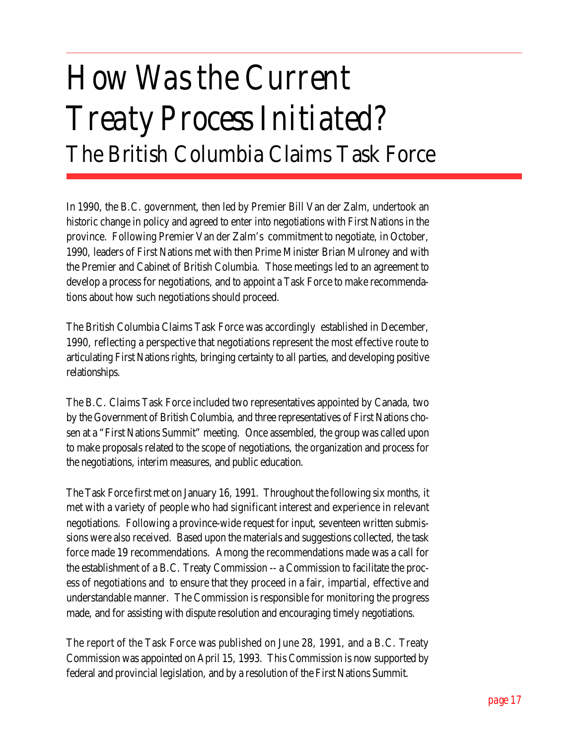## *How Was the Current Treaty Process Initiated?* **The British Columbia Claims Task Force**

In 1990, the B.C. government, then led by Premier Bill Van der Zalm, undertook an historic change in policy and agreed to enter into negotiations with First Nations in the province. Following Premier Van der Zalm's commitment to negotiate, in October, 1990, leaders of First Nations met with then Prime Minister Brian Mulroney and with the Premier and Cabinet of British Columbia. Those meetings led to an agreement to develop a process for negotiations, and to appoint a Task Force to make recommendations about how such negotiations should proceed.

The British Columbia Claims Task Force was accordingly established in December, 1990, reflecting a perspective that negotiations represent the most effective route to articulating First Nations rights, bringing certainty to all parties, and developing positive relationships.

The B.C. Claims Task Force included two representatives appointed by Canada, two by the Government of British Columbia, and three representatives of First Nations chosen at a "First Nations Summit" meeting. Once assembled, the group was called upon to make proposals related to the scope of negotiations, the organization and process for the negotiations, interim measures, and public education.

The Task Force first met on January 16, 1991. Throughout the following six months, it met with a variety of people who had significant interest and experience in relevant negotiations. Following a province-wide request for input, seventeen written submissions were also received. Based upon the materials and suggestions collected, the task force made 19 recommendations. Among the recommendations made was a call for the establishment of a B.C. Treaty Commission -- a Commission to facilitate the process of negotiations and to ensure that they proceed in a fair, impartial, effective and understandable manner. The Commission is responsible for monitoring the progress made, and for assisting with dispute resolution and encouraging timely negotiations.

The report of the Task Force was published on June 28, 1991, and a B.C. Treaty Commission was appointed on April 15, 1993. This Commission is now supported by federal and provincial legislation, and by a resolution of the First Nations Summit.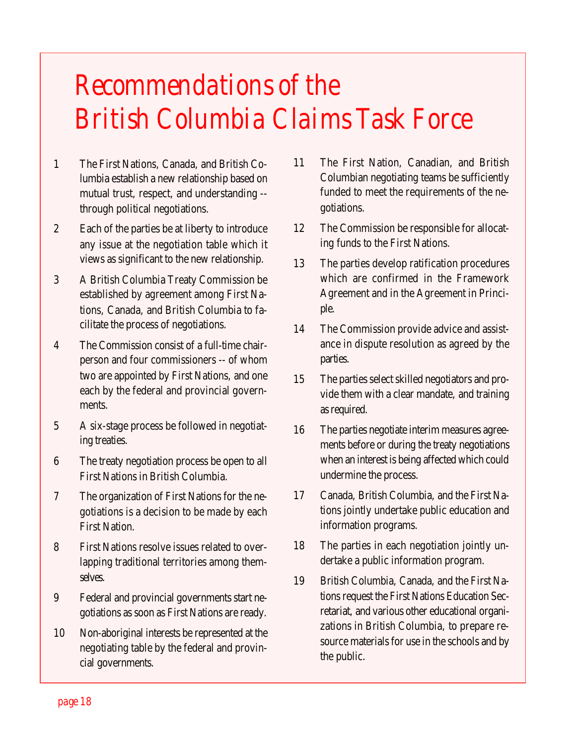### *Recommendations of the British Columbia Claims Task Force*

- 1 The First Nations, Canada, and British Columbia establish a new relationship based on mutual trust, respect, and understanding - through political negotiations.
- 2 Each of the parties be at liberty to introduce any issue at the negotiation table which it views as significant to the new relationship.
- 3 A British Columbia Treaty Commission be established by agreement among First Nations, Canada, and British Columbia to facilitate the process of negotiations.
- 4 The Commission consist of a full-time chairperson and four commissioners -- of whom two are appointed by First Nations, and one each by the federal and provincial governments.
- 5 A six-stage process be followed in negotiating treaties.
- 6 The treaty negotiation process be open to all First Nations in British Columbia.
- 7 The organization of First Nations for the negotiations is a decision to be made by each First Nation.
- 8 First Nations resolve issues related to overlapping traditional territories among themselves.
- 9 Federal and provincial governments start negotiations as soon as First Nations are ready.
- 10 Non-aboriginal interests be represented at the negotiating table by the federal and provincial governments.
- 11 The First Nation, Canadian, and British Columbian negotiating teams be sufficiently funded to meet the requirements of the negotiations.
- 12 The Commission be responsible for allocating funds to the First Nations.
- 13 The parties develop ratification procedures which are confirmed in the Framework Agreement and in the Agreement in Principle.
- 14 The Commission provide advice and assistance in dispute resolution as agreed by the parties.
- 15 The parties select skilled negotiators and provide them with a clear mandate, and training as required.
- 16 The parties negotiate interim measures agreements before or during the treaty negotiations when an interest is being affected which could undermine the process.
- 17 Canada, British Columbia, and the First Nations jointly undertake public education and information programs.
- 18 The parties in each negotiation jointly undertake a public information program.
- 19 British Columbia, Canada, and the First Nations request the First Nations Education Secretariat, and various other educational organizations in British Columbia, to prepare resource materials for use in the schools and by the public.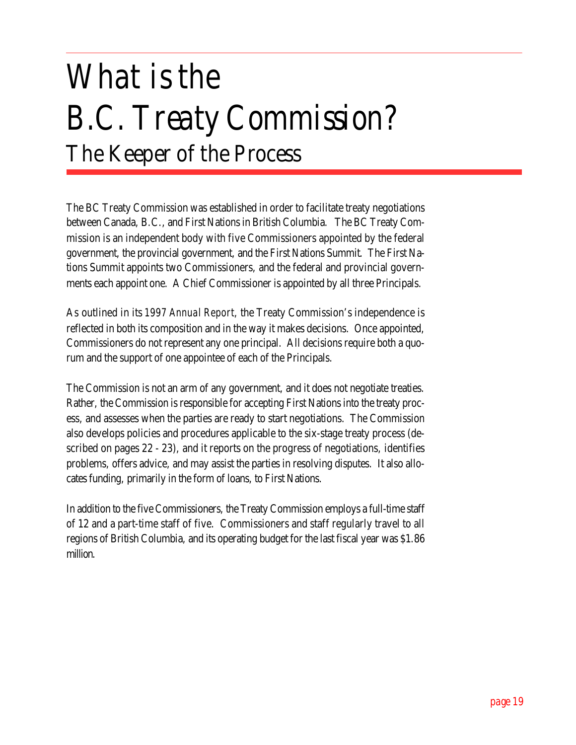## *What is the B.C. Treaty Commission?* **The Keeper of the Process**

The BC Treaty Commission was established in order to facilitate treaty negotiations between Canada, B.C., and First Nations in British Columbia. The BC Treaty Commission is an independent body with five Commissioners appointed by the federal government, the provincial government, and the First Nations Summit. The First Nations Summit appoints two Commissioners, and the federal and provincial governments each appoint one. A Chief Commissioner is appointed by all three Principals.

As outlined in its *1997 Annual Report*, the Treaty Commission's independence is reflected in both its composition and in the way it makes decisions. Once appointed, Commissioners do not represent any one principal. All decisions require both a quorum and the support of one appointee of each of the Principals.

The Commission is not an arm of any government, and it does not negotiate treaties. Rather, the Commission is responsible for accepting First Nations into the treaty process, and assesses when the parties are ready to start negotiations. The Commission also develops policies and procedures applicable to the six-stage treaty process (described on pages 22 - 23), and it reports on the progress of negotiations, identifies problems, offers advice, and may assist the parties in resolving disputes. It also allocates funding, primarily in the form of loans, to First Nations.

In addition to the five Commissioners, the Treaty Commission employs a full-time staff of 12 and a part-time staff of five. Commissioners and staff regularly travel to all regions of British Columbia, and its operating budget for the last fiscal year was \$1.86 million.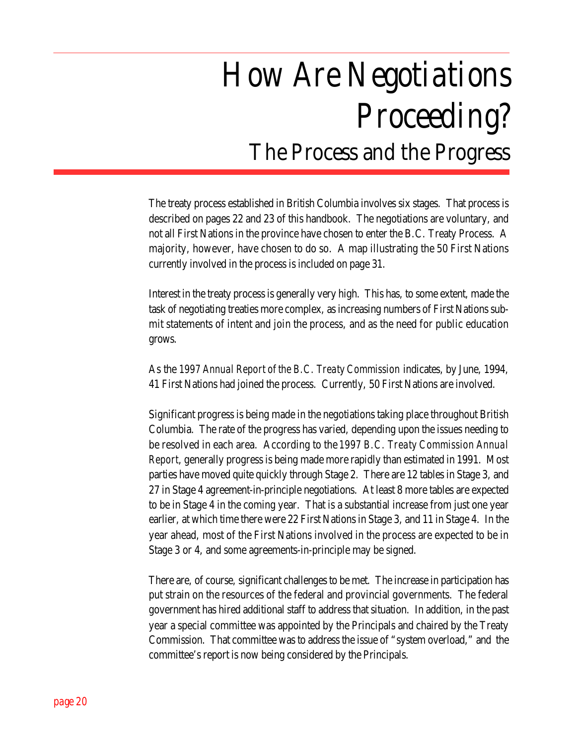## *How Are Negotiations Proceeding?* **The Process and the Progress**

The treaty process established in British Columbia involves six stages. That process is described on pages 22 and 23 of this handbook. The negotiations are voluntary, and not all First Nations in the province have chosen to enter the B.C. Treaty Process. A majority, however, have chosen to do so. A map illustrating the 50 First Nations currently involved in the process is included on page 31.

Interest in the treaty process is generally very high. This has, to some extent, made the task of negotiating treaties more complex, as increasing numbers of First Nations submit statements of intent and join the process, and as the need for public education grows.

As the *1997 Annual Report of the B.C. Treaty Commission* indicates, by June, 1994, 41 First Nations had joined the process. Currently, 50 First Nations are involved.

Significant progress is being made in the negotiations taking place throughout British Columbia. The rate of the progress has varied, depending upon the issues needing to be resolved in each area. According to the *1997 B.C. Treaty Commission Annual Report*, generally progress is being made more rapidly than estimated in 1991. Most parties have moved quite quickly through Stage 2. There are 12 tables in Stage 3, and 27 in Stage 4 agreement-in-principle negotiations. At least 8 more tables are expected to be in Stage 4 in the coming year. That is a substantial increase from just one year earlier, at which time there were 22 First Nations in Stage 3, and 11 in Stage 4. In the year ahead, most of the First Nations involved in the process are expected to be in Stage 3 or 4, and some agreements-in-principle may be signed.

There are, of course, significant challenges to be met. The increase in participation has put strain on the resources of the federal and provincial governments. The federal government has hired additional staff to address that situation. In addition, in the past year a special committee was appointed by the Principals and chaired by the Treaty Commission. That committee was to address the issue of "system overload," and the committee's report is now being considered by the Principals.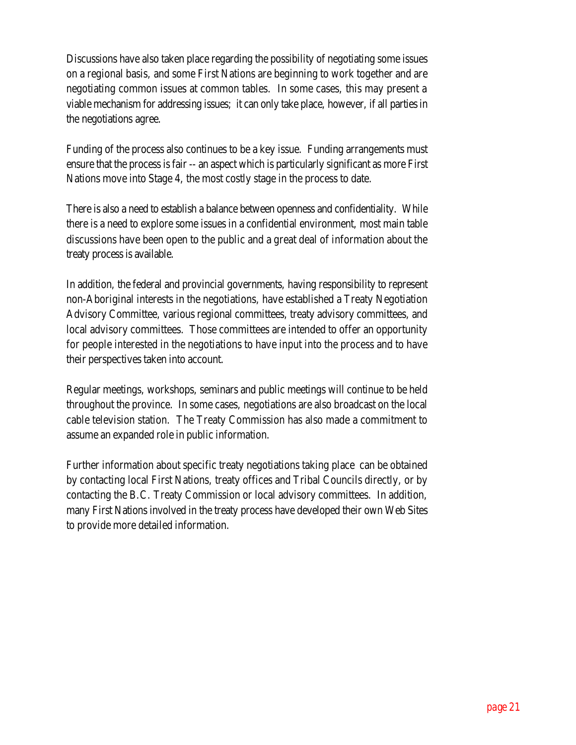Discussions have also taken place regarding the possibility of negotiating some issues on a regional basis, and some First Nations are beginning to work together and are negotiating common issues at common tables. In some cases, this may present a viable mechanism for addressing issues; it can only take place, however, if all parties in the negotiations agree.

Funding of the process also continues to be a key issue. Funding arrangements must ensure that the process is fair -- an aspect which is particularly significant as more First Nations move into Stage 4, the most costly stage in the process to date.

There is also a need to establish a balance between openness and confidentiality. While there is a need to explore some issues in a confidential environment, most main table discussions have been open to the public and a great deal of information about the treaty process is available.

In addition, the federal and provincial governments, having responsibility to represent non-Aboriginal interests in the negotiations, have established a Treaty Negotiation Advisory Committee, various regional committees, treaty advisory committees, and local advisory committees. Those committees are intended to offer an opportunity for people interested in the negotiations to have input into the process and to have their perspectives taken into account.

Regular meetings, workshops, seminars and public meetings will continue to be held throughout the province. In some cases, negotiations are also broadcast on the local cable television station. The Treaty Commission has also made a commitment to assume an expanded role in public information.

Further information about specific treaty negotiations taking place can be obtained by contacting local First Nations, treaty offices and Tribal Councils directly, or by contacting the B.C. Treaty Commission or local advisory committees. In addition, many First Nations involved in the treaty process have developed their own Web Sites to provide more detailed information.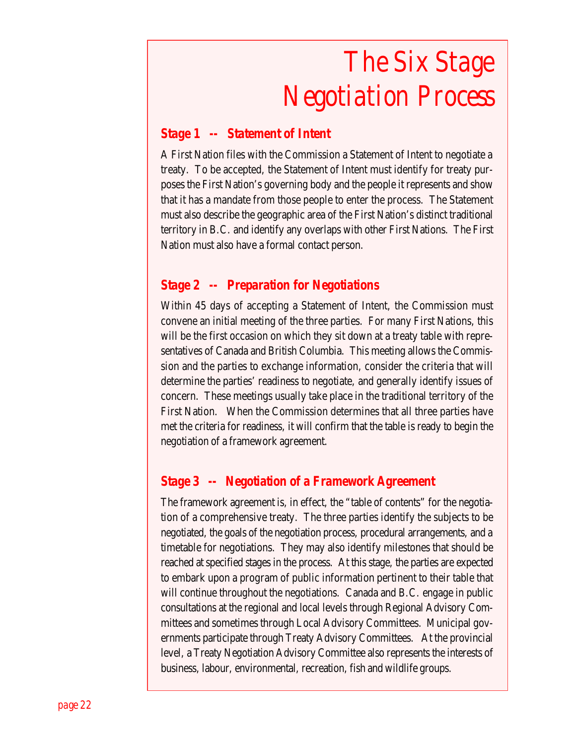## *The Six Stage Negotiation Process*

#### *Stage 1 -- Statement of Intent*

A First Nation files with the Commission a Statement of Intent to negotiate a treaty. To be accepted, the Statement of Intent must identify for treaty purposes the First Nation's governing body and the people it represents and show that it has a mandate from those people to enter the process. The Statement must also describe the geographic area of the First Nation's distinct traditional territory in B.C. and identify any overlaps with other First Nations. The First Nation must also have a formal contact person.

#### *Stage 2 -- Preparation for Negotiations*

Within 45 days of accepting a Statement of Intent, the Commission must convene an initial meeting of the three parties. For many First Nations, this will be the first occasion on which they sit down at a treaty table with representatives of Canada and British Columbia. This meeting allows the Commission and the parties to exchange information, consider the criteria that will determine the parties' readiness to negotiate, and generally identify issues of concern. These meetings usually take place in the traditional territory of the First Nation. When the Commission determines that all three parties have met the criteria for readiness, it will confirm that the table is ready to begin the negotiation of a framework agreement.

#### *Stage 3 -- Negotiation of a Framework Agreement*

The framework agreement is, in effect, the "table of contents" for the negotiation of a comprehensive treaty. The three parties identify the subjects to be negotiated, the goals of the negotiation process, procedural arrangements, and a timetable for negotiations. They may also identify milestones that should be reached at specified stages in the process. At this stage, the parties are expected to embark upon a program of public information pertinent to their table that will continue throughout the negotiations. Canada and B.C. engage in public consultations at the regional and local levels through Regional Advisory Committees and sometimes through Local Advisory Committees. Municipal governments participate through Treaty Advisory Committees. At the provincial level, a Treaty Negotiation Advisory Committee also represents the interests of business, labour, environmental, recreation, fish and wildlife groups.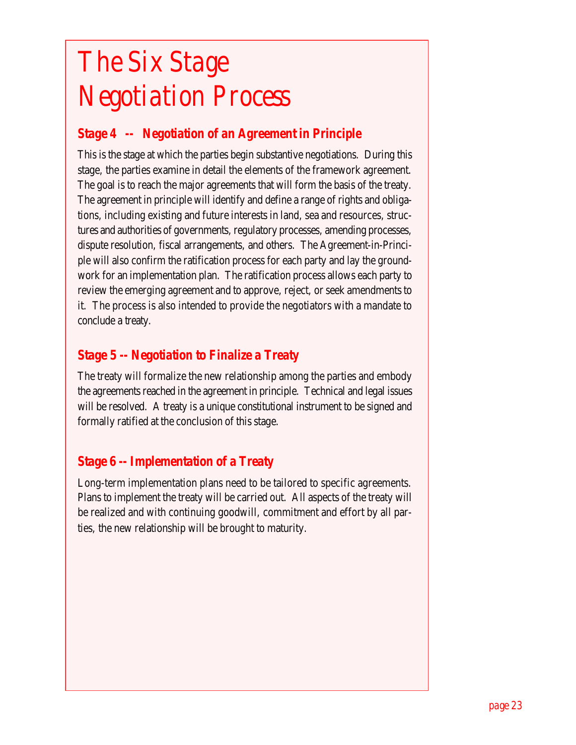## *The Six Stage Negotiation Process*

#### *Stage 4 -- Negotiation of an Agreement in Principle*

This is the stage at which the parties begin substantive negotiations. During this stage, the parties examine in detail the elements of the framework agreement. The goal is to reach the major agreements that will form the basis of the treaty. The agreement in principle will identify and define a range of rights and obligations, including existing and future interests in land, sea and resources, structures and authorities of governments, regulatory processes, amending processes, dispute resolution, fiscal arrangements, and others. The Agreement-in-Principle will also confirm the ratification process for each party and lay the groundwork for an implementation plan. The ratification process allows each party to review the emerging agreement and to approve, reject, or seek amendments to it. The process is also intended to provide the negotiators with a mandate to conclude a treaty.

#### *Stage 5 -- Negotiation to Finalize a Treaty*

The treaty will formalize the new relationship among the parties and embody the agreements reached in the agreement in principle. Technical and legal issues will be resolved. A treaty is a unique constitutional instrument to be signed and formally ratified at the conclusion of this stage.

#### *Stage 6 -- Implementation of a Treaty*

Long-term implementation plans need to be tailored to specific agreements. Plans to implement the treaty will be carried out. All aspects of the treaty will be realized and with continuing goodwill, commitment and effort by all parties, the new relationship will be brought to maturity.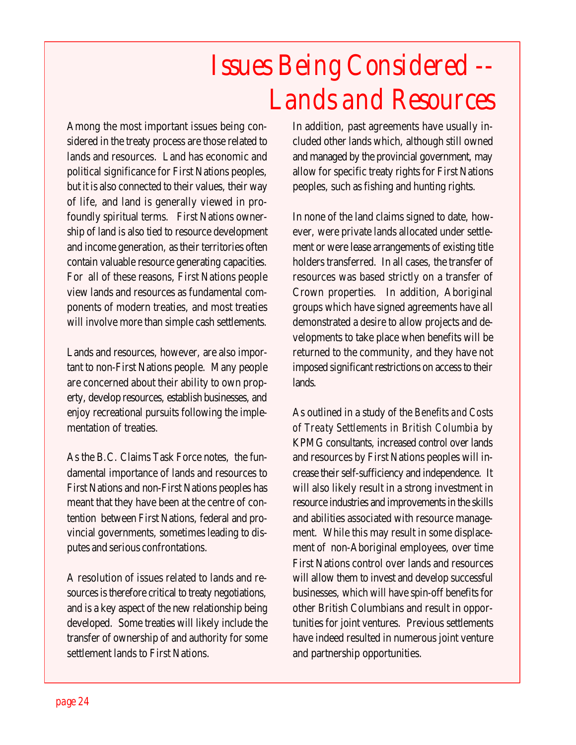### *Issues Being Considered -- Lands and Resources*

Among the most important issues being considered in the treaty process are those related to lands and resources. Land has economic and political significance for First Nations peoples, but it is also connected to their values, their way of life, and land is generally viewed in profoundly spiritual terms. First Nations ownership of land is also tied to resource development and income generation, as their territories often contain valuable resource generating capacities. For all of these reasons, First Nations people view lands and resources as fundamental components of modern treaties, and most treaties will involve more than simple cash settlements.

Lands and resources, however, are also important to non-First Nations people. Many people are concerned about their ability to own property, develop resources, establish businesses, and enjoy recreational pursuits following the implementation of treaties.

As the B.C. Claims Task Force notes, the fundamental importance of lands and resources to First Nations and non-First Nations peoples has meant that they have been at the centre of contention between First Nations, federal and provincial governments, sometimes leading to disputes and serious confrontations.

A resolution of issues related to lands and resources is therefore critical to treaty negotiations, and is a key aspect of the new relationship being developed. Some treaties will likely include the transfer of ownership of and authority for some settlement lands to First Nations.

In addition, past agreements have usually included other lands which, although still owned and managed by the provincial government, may allow for specific treaty rights for First Nations peoples, such as fishing and hunting rights.

In none of the land claims signed to date, however, were private lands allocated under settlement or were lease arrangements of existing title holders transferred. In all cases, the transfer of resources was based strictly on a transfer of Crown properties. In addition, Aboriginal groups which have signed agreements have all demonstrated a desire to allow projects and developments to take place when benefits will be returned to the community, and they have not imposed significant restrictions on access to their lands.

As outlined in a study of the *Benefits and Costs of Treaty Settlements in British Columbia* by KPMG consultants, increased control over lands and resources by First Nations peoples will increase their self-sufficiency and independence. It will also likely result in a strong investment in resource industries and improvements in the skills and abilities associated with resource management. While this may result in some displacement of non-Aboriginal employees, over time First Nations control over lands and resources will allow them to invest and develop successful businesses, which will have spin-off benefits for other British Columbians and result in opportunities for joint ventures. Previous settlements have indeed resulted in numerous joint venture and partnership opportunities.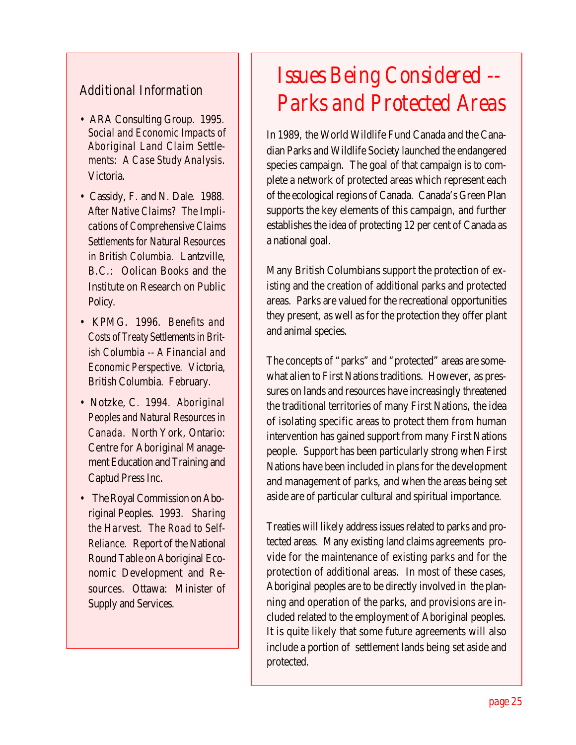#### *Additional Information*

- ARA Consulting Group. 1995. *Social and Economic Impacts of Aboriginal Land Claim Settlements: A Case Study Analysis*. Victoria.
- Cassidy, F. and N. Dale. 1988. *After Native Claims? The Implications of Comprehensive Claims Settlements for Natural Resources in British Columbia.* Lantzville, B.C.: Oolican Books and the Institute on Research on Public Policy.
- KPMG. 1996. *Benefits and Costs of Treaty Settlements in British Columbia -- A Financial and Economic Perspective.* Victoria, British Columbia. February.
- Notzke, C. 1994. *Aboriginal Peoples and Natural Resources in Canada.* North York, Ontario: Centre for Aboriginal Management Education and Training and Captud Press Inc.
- The Royal Commission on Aboriginal Peoples. 1993. *Sharing the Harvest. The Road to Self-Reliance.* Report of the National Round Table on Aboriginal Economic Development and Resources. Ottawa: Minister of Supply and Services.

### *Issues Being Considered -- Parks and Protected Areas*

In 1989, the World Wildlife Fund Canada and the Canadian Parks and Wildlife Society launched the endangered species campaign. The goal of that campaign is to complete a network of protected areas which represent each of the ecological regions of Canada. Canada's Green Plan supports the key elements of this campaign, and further establishes the idea of protecting 12 per cent of Canada as a national goal.

Many British Columbians support the protection of existing and the creation of additional parks and protected areas. Parks are valued for the recreational opportunities they present, as well as for the protection they offer plant and animal species.

The concepts of "parks" and "protected" areas are somewhat alien to First Nations traditions. However, as pressures on lands and resources have increasingly threatened the traditional territories of many First Nations, the idea of isolating specific areas to protect them from human intervention has gained support from many First Nations people. Support has been particularly strong when First Nations have been included in plans for the development and management of parks, and when the areas being set aside are of particular cultural and spiritual importance.

Treaties will likely address issues related to parks and protected areas. Many existing land claims agreements provide for the maintenance of existing parks and for the protection of additional areas. In most of these cases, Aboriginal peoples are to be directly involved in the planning and operation of the parks, and provisions are included related to the employment of Aboriginal peoples. It is quite likely that some future agreements will also include a portion of settlement lands being set aside and protected.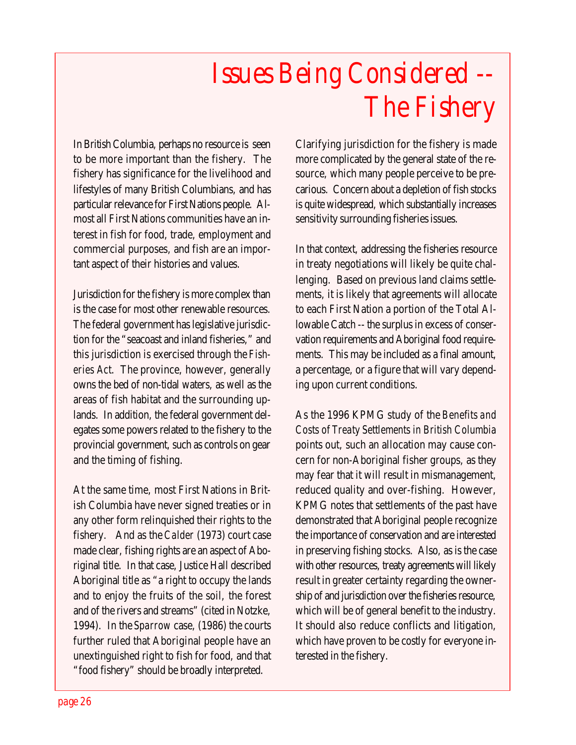## *Issues Being Considered -- The Fishery*

In British Columbia, perhaps no resource is seen to be more important than the fishery. The fishery has significance for the livelihood and lifestyles of many British Columbians, and has particular relevance for First Nations people. Almost all First Nations communities have an interest in fish for food, trade, employment and commercial purposes, and fish are an important aspect of their histories and values.

Jurisdiction for the fishery is more complex than is the case for most other renewable resources. The federal government has legislative jurisdiction for the "seacoast and inland fisheries," and this jurisdiction is exercised through the *Fisheries Act*. The province, however, generally owns the bed of non-tidal waters, as well as the areas of fish habitat and the surrounding uplands. In addition, the federal government delegates some powers related to the fishery to the provincial government, such as controls on gear and the timing of fishing.

At the same time, most First Nations in British Columbia have never signed treaties or in any other form relinquished their rights to the fishery. And as the *Calder* (1973) court case made clear, fishing rights are an aspect of Aboriginal title. In that case, Justice Hall described Aboriginal title as "a right to occupy the lands and to enjoy the fruits of the soil, the forest and of the rivers and streams" (cited in Notzke, 1994). In the *Sparrow* case, (1986) the courts further ruled that Aboriginal people have an unextinguished right to fish for food, and that "food fishery" should be broadly interpreted.

Clarifying jurisdiction for the fishery is made more complicated by the general state of the resource, which many people perceive to be precarious. Concern about a depletion of fish stocks is quite widespread, which substantially increases sensitivity surrounding fisheries issues.

In that context, addressing the fisheries resource in treaty negotiations will likely be quite challenging. Based on previous land claims settlements, it is likely that agreements will allocate to each First Nation a portion of the Total Allowable Catch -- the surplus in excess of conservation requirements and Aboriginal food requirements. This may be included as a final amount, a percentage, or a figure that will vary depending upon current conditions.

As the 1996 KPMG study of the *Benefits and Costs of Treaty Settlements in British Columbia* points out, such an allocation may cause concern for non-Aboriginal fisher groups, as they may fear that it will result in mismanagement, reduced quality and over-fishing. However, KPMG notes that settlements of the past have demonstrated that Aboriginal people recognize the importance of conservation and are interested in preserving fishing stocks. Also, as is the case with other resources, treaty agreements will likely result in greater certainty regarding the ownership of and jurisdiction over the fisheries resource, which will be of general benefit to the industry. It should also reduce conflicts and litigation, which have proven to be costly for everyone interested in the fishery.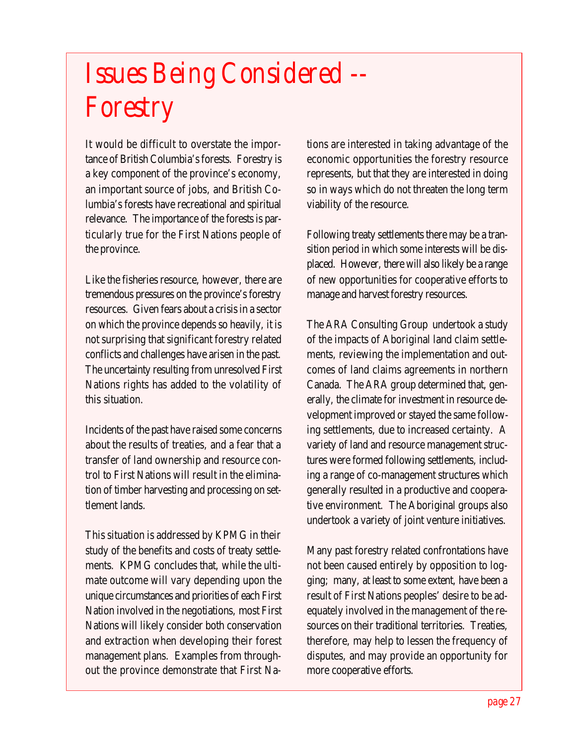## *Issues Being Considered -- Forestry*

It would be difficult to overstate the importance of British Columbia's forests. Forestry is a key component of the province's economy, an important source of jobs, and British Columbia's forests have recreational and spiritual relevance. The importance of the forests is particularly true for the First Nations people of the province.

Like the fisheries resource, however, there are tremendous pressures on the province's forestry resources. Given fears about a crisis in a sector on which the province depends so heavily, it is not surprising that significant forestry related conflicts and challenges have arisen in the past. The uncertainty resulting from unresolved First Nations rights has added to the volatility of this situation.

Incidents of the past have raised some concerns about the results of treaties, and a fear that a transfer of land ownership and resource control to First Nations will result in the elimination of timber harvesting and processing on settlement lands.

This situation is addressed by KPMG in their study of the benefits and costs of treaty settlements. KPMG concludes that, while the ultimate outcome will vary depending upon the unique circumstances and priorities of each First Nation involved in the negotiations, most First Nations will likely consider both conservation and extraction when developing their forest management plans. Examples from throughout the province demonstrate that First Nations are interested in taking advantage of the economic opportunities the forestry resource represents, but that they are interested in doing so in ways which do not threaten the long term viability of the resource.

Following treaty settlements there may be a transition period in which some interests will be displaced. However, there will also likely be a range of new opportunities for cooperative efforts to manage and harvest forestry resources.

The ARA Consulting Group undertook a study of the impacts of Aboriginal land claim settlements, reviewing the implementation and outcomes of land claims agreements in northern Canada. The ARA group determined that, generally, the climate for investment in resource development improved or stayed the same following settlements, due to increased certainty. A variety of land and resource management structures were formed following settlements, including a range of co-management structures which generally resulted in a productive and cooperative environment. The Aboriginal groups also undertook a variety of joint venture initiatives.

Many past forestry related confrontations have not been caused entirely by opposition to logging; many, at least to some extent, have been a result of First Nations peoples' desire to be adequately involved in the management of the resources on their traditional territories. Treaties, therefore, may help to lessen the frequency of disputes, and may provide an opportunity for more cooperative efforts.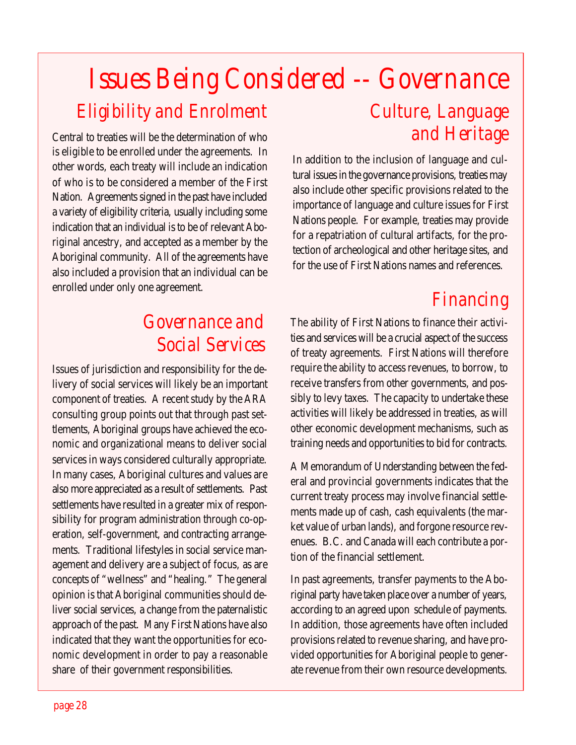### *Issues Being Considered -- Governance Eligibility and Enrolment Culture, Language and Heritage*

Central to treaties will be the determination of who is eligible to be enrolled under the agreements. In other words, each treaty will include an indication of who is to be considered a member of the First Nation. Agreements signed in the past have included a variety of eligibility criteria, usually including some indication that an individual is to be of relevant Aboriginal ancestry, and accepted as a member by the Aboriginal community. All of the agreements have also included a provision that an individual can be enrolled under only one agreement.

### *Governance and Social Services*

Issues of jurisdiction and responsibility for the delivery of social services will likely be an important component of treaties. A recent study by the ARA consulting group points out that through past settlements, Aboriginal groups have achieved the economic and organizational means to deliver social services in ways considered culturally appropriate. In many cases, Aboriginal cultures and values are also more appreciated as a result of settlements. Past settlements have resulted in a greater mix of responsibility for program administration through co-operation, self-government, and contracting arrangements. Traditional lifestyles in social service management and delivery are a subject of focus, as are concepts of "wellness" and "healing." The general opinion is that Aboriginal communities should deliver social services, a change from the paternalistic approach of the past. Many First Nations have also indicated that they want the opportunities for economic development in order to pay a reasonable share of their government responsibilities.

In addition to the inclusion of language and cultural issues in the governance provisions, treaties may also include other specific provisions related to the importance of language and culture issues for First Nations people. For example, treaties may provide for a repatriation of cultural artifacts, for the protection of archeological and other heritage sites, and for the use of First Nations names and references.

### *Financing*

The ability of First Nations to finance their activities and services will be a crucial aspect of the success of treaty agreements. First Nations will therefore require the ability to access revenues, to borrow, to receive transfers from other governments, and possibly to levy taxes. The capacity to undertake these activities will likely be addressed in treaties, as will other economic development mechanisms, such as training needs and opportunities to bid for contracts.

A Memorandum of Understanding between the federal and provincial governments indicates that the current treaty process may involve financial settlements made up of cash, cash equivalents (the market value of urban lands), and forgone resource revenues. B.C. and Canada will each contribute a portion of the financial settlement.

In past agreements, transfer payments to the Aboriginal party have taken place over a number of years, according to an agreed upon schedule of payments. In addition, those agreements have often included provisions related to revenue sharing, and have provided opportunities for Aboriginal people to generate revenue from their own resource developments.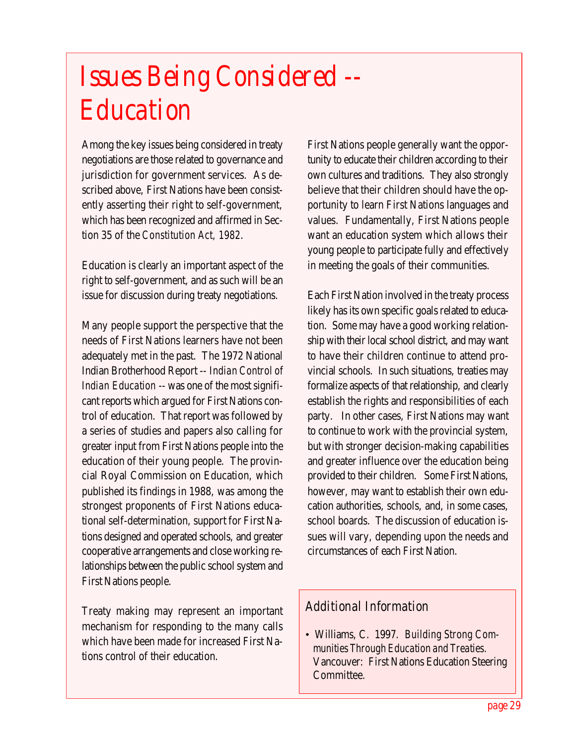### *Issues Being Considered -- Education*

Among the key issues being considered in treaty negotiations are those related to governance and jurisdiction for government services. As described above, First Nations have been consistently asserting their right to self-government, which has been recognized and affirmed in Section 35 of the *Constitution Act, 1982*.

Education is clearly an important aspect of the right to self-government, and as such will be an issue for discussion during treaty negotiations.

Many people support the perspective that the needs of First Nations learners have not been adequately met in the past. The 1972 National Indian Brotherhood Report -- *Indian Control of Indian Education* -- was one of the most significant reports which argued for First Nations control of education. That report was followed by a series of studies and papers also calling for greater input from First Nations people into the education of their young people. The provincial Royal Commission on Education, which published its findings in 1988, was among the strongest proponents of First Nations educational self-determination, support for First Nations designed and operated schools, and greater cooperative arrangements and close working relationships between the public school system and First Nations people.

Treaty making may represent an important mechanism for responding to the many calls which have been made for increased First Nations control of their education.

First Nations people generally want the opportunity to educate their children according to their own cultures and traditions. They also strongly believe that their children should have the opportunity to learn First Nations languages and values. Fundamentally, First Nations people want an education system which allows their young people to participate fully and effectively in meeting the goals of their communities.

Each First Nation involved in the treaty process likely has its own specific goals related to education. Some may have a good working relationship with their local school district, and may want to have their children continue to attend provincial schools. In such situations, treaties may formalize aspects of that relationship, and clearly establish the rights and responsibilities of each party. In other cases, First Nations may want to continue to work with the provincial system, but with stronger decision-making capabilities and greater influence over the education being provided to their children. Some First Nations, however, may want to establish their own education authorities, schools, and, in some cases, school boards. The discussion of education issues will vary, depending upon the needs and circumstances of each First Nation.

#### *Additional Information*

• Williams, C. 1997. *Building Strong Communities Through Education and Treaties.* Vancouver: First Nations Education Steering Committee.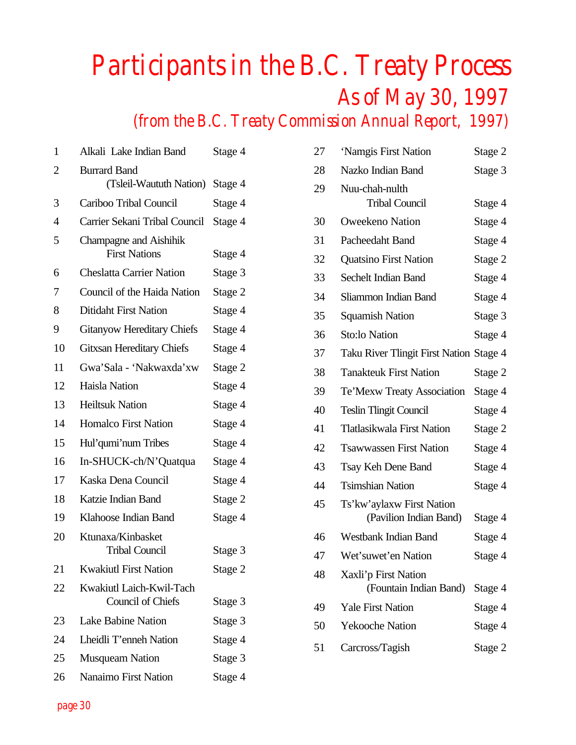### *Participants in the B.C. Treaty Process As of May 30, 1997 (from the B.C. Treaty Commission Annual Report, 1997)*

| 1              | Alkali Lake Indian Band                        | Stage 4 |
|----------------|------------------------------------------------|---------|
| 2              | <b>Burrard Band</b><br>(Tsleil-Waututh Nation) | Stage 4 |
| 3              | Cariboo Tribal Council                         | Stage 4 |
| $\overline{4}$ | Carrier Sekani Tribal Council                  | Stage 4 |
| 5              | Champagne and Aishihik<br><b>First Nations</b> | Stage 4 |
| 6              | <b>Cheslatta Carrier Nation</b>                | Stage 3 |
| 7              | Council of the Haida Nation                    | Stage 2 |
| 8              | Ditidaht First Nation                          | Stage 4 |
| 9              | <b>Gitanyow Hereditary Chiefs</b>              | Stage 4 |
| 10             | <b>Gitxsan Hereditary Chiefs</b>               | Stage 4 |
| 11             | Gwa'Sala - 'Nakwaxda'xw                        | Stage 2 |
| 12             | Haisla Nation                                  | Stage 4 |
| 13             | <b>Heiltsuk Nation</b>                         | Stage 4 |
| 14             | <b>Homalco First Nation</b>                    | Stage 4 |
| 15             | Hul'qumi'num Tribes                            | Stage 4 |
| 16             | In-SHUCK-ch/N'Quatqua                          | Stage 4 |
| 17             | Kaska Dena Council                             | Stage 4 |
| 18             | Katzie Indian Band                             | Stage 2 |
| 19             | Klahoose Indian Band                           | Stage 4 |
| 20             | Ktunaxa/Kinbasket<br><b>Tribal Council</b>     | Stage 3 |
| 21             | <b>Kwakiutl First Nation</b>                   | Stage 2 |
| 22             | Kwakiutl Laich-Kwil-Tach<br>Council of Chiefs  | Stage 3 |
| 23             | <b>Lake Babine Nation</b>                      | Stage 3 |
| 24             | Lheidli T'enneh Nation                         | Stage 4 |
| 25             | <b>Musqueam Nation</b>                         | Stage 3 |
| 26             | <b>Nanaimo First Nation</b>                    | Stage 4 |

| 27 | 'Namgis First Nation                                | Stage 2 |
|----|-----------------------------------------------------|---------|
| 28 | Nazko Indian Band                                   | Stage 3 |
| 29 | Nuu-chah-nulth<br><b>Tribal Council</b>             | Stage 4 |
| 30 | <b>Oweekeno Nation</b>                              | Stage 4 |
| 31 | Pacheedaht Band                                     | Stage 4 |
| 32 | <b>Quatsino First Nation</b>                        | Stage 2 |
| 33 | <b>Sechelt Indian Band</b>                          | Stage 4 |
| 34 | Sliammon Indian Band                                | Stage 4 |
| 35 | <b>Squamish Nation</b>                              | Stage 3 |
| 36 | <b>Sto:lo Nation</b>                                | Stage 4 |
| 37 | Taku River Tlingit First Nation Stage 4             |         |
| 38 | <b>Tanakteuk First Nation</b>                       | Stage 2 |
| 39 | Te'Mexw Treaty Association                          | Stage 4 |
| 40 | <b>Teslin Tlingit Council</b>                       | Stage 4 |
| 41 | Tlatlasikwala First Nation                          | Stage 2 |
| 42 | <b>Tsawwassen First Nation</b>                      | Stage 4 |
| 43 | Tsay Keh Dene Band                                  | Stage 4 |
| 44 | <b>Tsimshian Nation</b>                             | Stage 4 |
| 45 | Ts'kw'aylaxw First Nation<br>(Pavilion Indian Band) | Stage 4 |
| 46 | <b>Westbank Indian Band</b>                         | Stage 4 |
| 47 | Wet'suwet'en Nation                                 | Stage 4 |
| 48 | Xaxli'p First Nation<br>(Fountain Indian Band)      | Stage 4 |
| 49 | <b>Yale First Nation</b>                            | Stage 4 |
| 50 | <b>Yekooche Nation</b>                              | Stage 4 |
| 51 | Carcross/Tagish                                     | Stage 2 |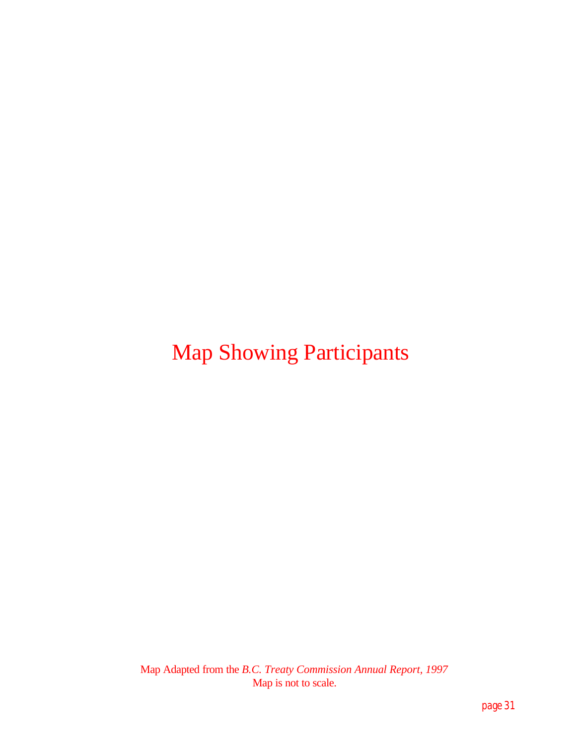### Map Showing Participants

Map Adapted from the *B.C. Treaty Commission Annual Report, 1997* Map is not to scale.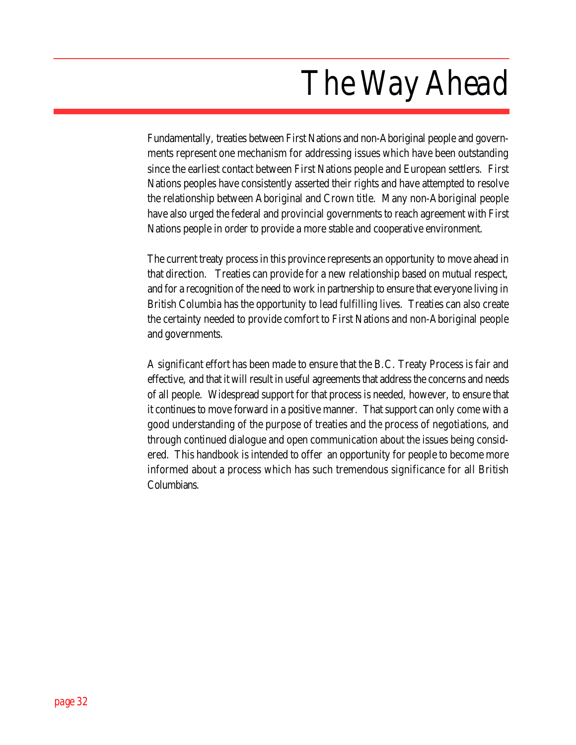## *The Way Ahead*

Fundamentally, treaties between First Nations and non-Aboriginal people and governments represent one mechanism for addressing issues which have been outstanding since the earliest contact between First Nations people and European settlers. First Nations peoples have consistently asserted their rights and have attempted to resolve the relationship between Aboriginal and Crown title. Many non-Aboriginal people have also urged the federal and provincial governments to reach agreement with First Nations people in order to provide a more stable and cooperative environment.

The current treaty process in this province represents an opportunity to move ahead in that direction. Treaties can provide for a new relationship based on mutual respect, and for a recognition of the need to work in partnership to ensure that everyone living in British Columbia has the opportunity to lead fulfilling lives. Treaties can also create the certainty needed to provide comfort to First Nations and non-Aboriginal people and governments.

A significant effort has been made to ensure that the B.C. Treaty Process is fair and effective, and that it will result in useful agreements that address the concerns and needs of all people. Widespread support for that process is needed, however, to ensure that it continues to move forward in a positive manner. That support can only come with a good understanding of the purpose of treaties and the process of negotiations, and through continued dialogue and open communication about the issues being considered. This handbook is intended to offer an opportunity for people to become more informed about a process which has such tremendous significance for all British Columbians.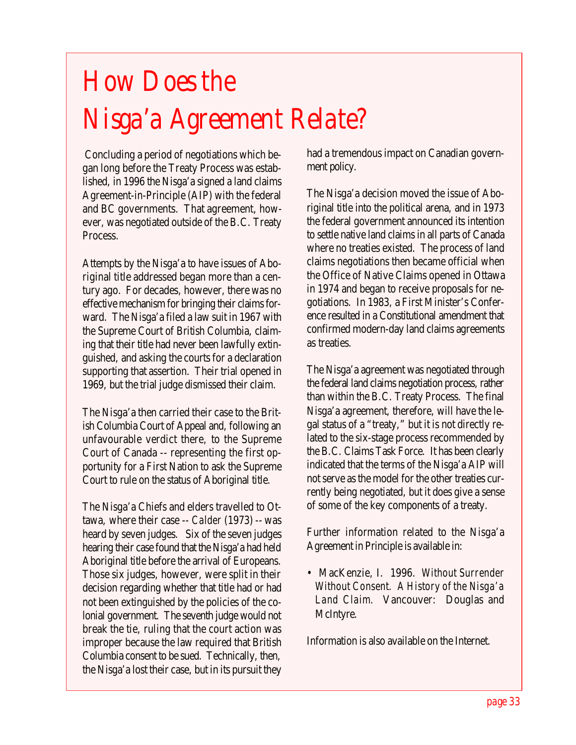## *How Does the Nisga'a Agreement Relate?*

 Concluding a period of negotiations which began long before the Treaty Process was established, in 1996 the Nisga'a signed a land claims Agreement-in-Principle (AIP) with the federal and BC governments. That agreement, however, was negotiated outside of the B.C. Treaty Process.

Attempts by the Nisga'a to have issues of Aboriginal title addressed began more than a century ago. For decades, however, there was no effective mechanism for bringing their claims forward. The Nisga'a filed a law suit in 1967 with the Supreme Court of British Columbia, claiming that their title had never been lawfully extinguished, and asking the courts for a declaration supporting that assertion. Their trial opened in 1969, but the trial judge dismissed their claim.

The Nisga'a then carried their case to the British Columbia Court of Appeal and, following an unfavourable verdict there, to the Supreme Court of Canada -- representing the first opportunity for a First Nation to ask the Supreme Court to rule on the status of Aboriginal title.

The Nisga'a Chiefs and elders travelled to Ottawa, where their case -- *Calder* (1973) -- was heard by seven judges. Six of the seven judges hearing their case found that the Nisga'a had held Aboriginal title before the arrival of Europeans. Those six judges, however, were split in their decision regarding whether that title had or had not been extinguished by the policies of the colonial government. The seventh judge would not break the tie, ruling that the court action was improper because the law required that British Columbia consent to be sued. Technically, then, the Nisga'a lost their case, but in its pursuit they

had a tremendous impact on Canadian government policy.

The Nisga'a decision moved the issue of Aboriginal title into the political arena, and in 1973 the federal government announced its intention to settle native land claims in all parts of Canada where no treaties existed. The process of land claims negotiations then became official when the Office of Native Claims opened in Ottawa in 1974 and began to receive proposals for negotiations. In 1983, a First Minister's Conference resulted in a Constitutional amendment that confirmed modern-day land claims agreements as treaties.

The Nisga'a agreement was negotiated through the federal land claims negotiation process, rather than within the B.C. Treaty Process. The final Nisga'a agreement, therefore, will have the legal status of a "treaty," but it is not directly related to the six-stage process recommended by the B.C. Claims Task Force. It has been clearly indicated that the terms of the Nisga'a AIP will not serve as the model for the other treaties currently being negotiated, but it does give a sense of some of the key components of a treaty.

Further information related to the Nisga'a Agreement in Principle is available in:

• MacKenzie, I. 1996. *Without Surrender Without Consent. A History of the Nisga'a Land Claim.* Vancouver: Douglas and McIntyre.

Information is also available on the Internet.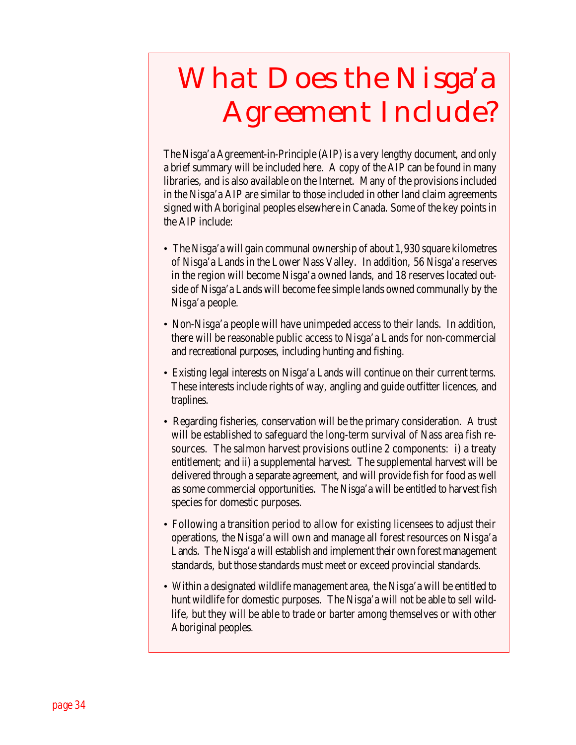## *What Does the Nisga'a Agreement Include?*

The Nisga'a Agreement-in-Principle (AIP) is a very lengthy document, and only a brief summary will be included here. A copy of the AIP can be found in many libraries, and is also available on the Internet. Many of the provisions included in the Nisga'a AIP are similar to those included in other land claim agreements signed with Aboriginal peoples elsewhere in Canada. Some of the key points in the AIP include:

- The Nisga'a will gain communal ownership of about 1,930 square kilometres of Nisga'a Lands in the Lower Nass Valley. In addition, 56 Nisga'a reserves in the region will become Nisga'a owned lands, and 18 reserves located outside of Nisga'a Lands will become fee simple lands owned communally by the Nisga'a people.
- Non-Nisga'a people will have unimpeded access to their lands. In addition, there will be reasonable public access to Nisga'a Lands for non-commercial and recreational purposes, including hunting and fishing.
- Existing legal interests on Nisga'a Lands will continue on their current terms. These interests include rights of way, angling and guide outfitter licences, and traplines.
- Regarding fisheries, conservation will be the primary consideration. A trust will be established to safeguard the long-term survival of Nass area fish resources. The salmon harvest provisions outline 2 components: i) a treaty entitlement; and ii) a supplemental harvest. The supplemental harvest will be delivered through a separate agreement, and will provide fish for food as well as some commercial opportunities. The Nisga'a will be entitled to harvest fish species for domestic purposes.
- Following a transition period to allow for existing licensees to adjust their operations, the Nisga'a will own and manage all forest resources on Nisga'a Lands. The Nisga'a will establish and implement their own forest management standards, but those standards must meet or exceed provincial standards.
- Within a designated wildlife management area, the Nisga'a will be entitled to hunt wildlife for domestic purposes. The Nisga'a will not be able to sell wildlife, but they will be able to trade or barter among themselves or with other Aboriginal peoples.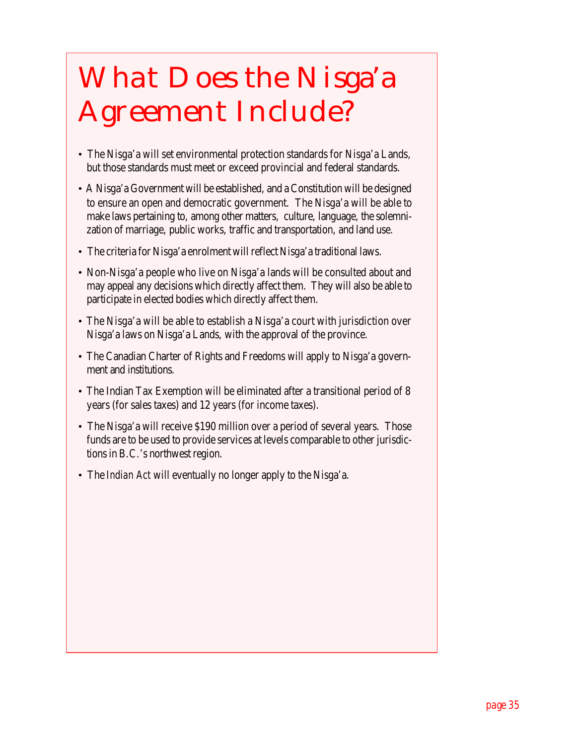## *What Does the Nisga'a Agreement Include?*

- The Nisga'a will set environmental protection standards for Nisga'a Lands, but those standards must meet or exceed provincial and federal standards.
- A Nisga'a Government will be established, and a Constitution will be designed to ensure an open and democratic government. The Nisga'a will be able to make laws pertaining to, among other matters, culture, language, the solemnization of marriage, public works, traffic and transportation, and land use.
- The criteria for Nisga'a enrolment will reflect Nisga'a traditional laws.
- Non-Nisga'a people who live on Nisga'a lands will be consulted about and may appeal any decisions which directly affect them. They will also be able to participate in elected bodies which directly affect them.
- The Nisga'a will be able to establish a Nisga'a court with jurisdiction over Nisga'a laws on Nisga'a Lands, with the approval of the province.
- The Canadian Charter of Rights and Freedoms will apply to Nisga'a government and institutions.
- The Indian Tax Exemption will be eliminated after a transitional period of 8 years (for sales taxes) and 12 years (for income taxes).
- The Nisga'a will receive \$190 million over a period of several years. Those funds are to be used to provide services at levels comparable to other jurisdictions in B.C.'s northwest region.
- The *Indian Act* will eventually no longer apply to the Nisga'a.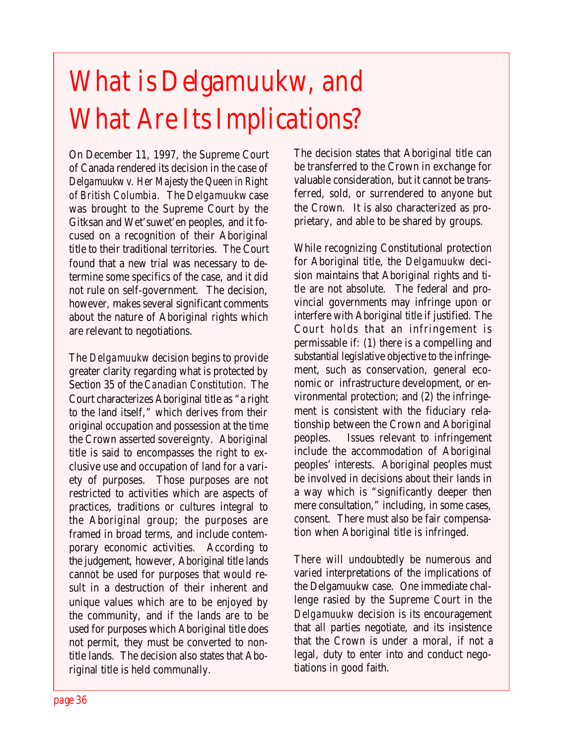## *What is Delgamuukw, and What Are Its Implications?*

On December 11, 1997, the Supreme Court of Canada rendered its decision in the case of *Delgamuukw v. Her Majesty the Queen in Right of British Columbia.* The *Delgamuukw* case was brought to the Supreme Court by the Gitksan and Wet'suwet'en peoples, and it focused on a recognition of their Aboriginal title to their traditional territories. The Court found that a new trial was necessary to determine some specifics of the case, and it did not rule on self-government. The decision, however, makes several significant comments about the nature of Aboriginal rights which are relevant to negotiations.

The *Delgamuukw* decision begins to provide greater clarity regarding what is protected by Section 35 of the *Canadian Constitution*. The Court characterizes Aboriginal title as "a right to the land itself," which derives from their original occupation and possession at the time the Crown asserted sovereignty. Aboriginal title is said to encompasses the right to exclusive use and occupation of land for a variety of purposes. Those purposes are not restricted to activities which are aspects of practices, traditions or cultures integral to the Aboriginal group; the purposes are framed in broad terms, and include contemporary economic activities. According to the judgement, however, Aboriginal title lands cannot be used for purposes that would result in a destruction of their inherent and unique values which are to be enjoyed by the community, and if the lands are to be used for purposes which Aboriginal title does not permit, they must be converted to nontitle lands. The decision also states that Aboriginal title is held communally.

The decision states that Aboriginal title can be transferred to the Crown in exchange for valuable consideration, but it cannot be transferred, sold, or surrendered to anyone but the Crown. It is also characterized as proprietary, and able to be shared by groups.

While recognizing Constitutional protection for Aboriginal title, the *Delgamuukw* decision maintains that Aboriginal rights and title are not absolute. The federal and provincial governments may infringe upon or interfere with Aboriginal title if justified. The Court holds that an infringement is permissable if: (1) there is a compelling and substantial legislative objective to the infringement, such as conservation, general economic or infrastructure development, or environmental protection; and (2) the infringement is consistent with the fiduciary relationship between the Crown and Aboriginal peoples. Issues relevant to infringement include the accommodation of Aboriginal peoples' interests. Aboriginal peoples must be involved in decisions about their lands in a way which is "significantly deeper then mere consultation," including, in some cases, consent. There must also be fair compensation when Aboriginal title is infringed.

There will undoubtedly be numerous and varied interpretations of the implications of the Delgamuukw case. One immediate challenge rasied by the Supreme Court in the *Delgamuukw* decision is its encouragement that all parties negotiate, and its insistence that the Crown is under a moral, if not a legal, duty to enter into and conduct negotiations in good faith.